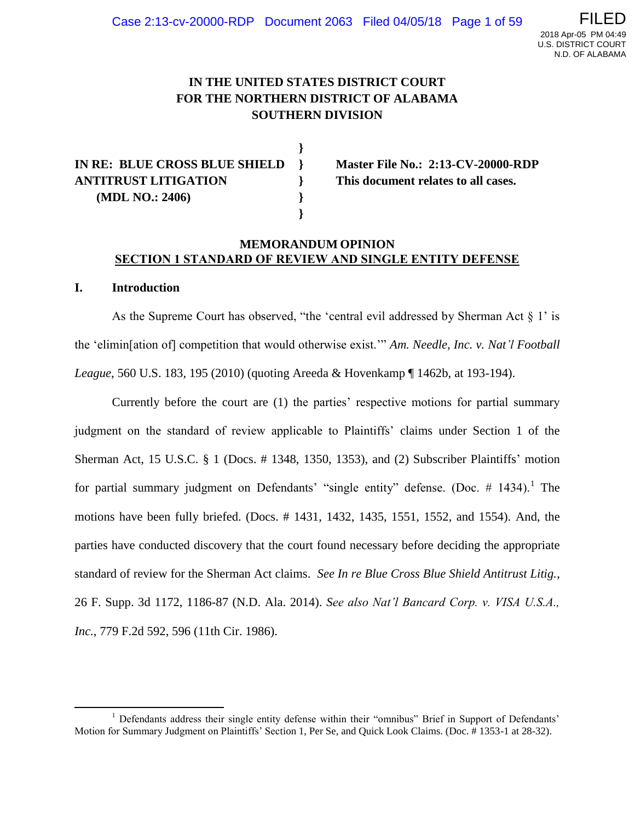# **IN THE UNITED STATES DISTRICT COURT FOR THE NORTHERN DISTRICT OF ALABAMA SOUTHERN DIVISION**

**}**

**}**

**IN RE: BLUE CROSS BLUE SHIELD } Master File No.: 2:13-CV-20000-RDP ANTITRUST LITIGATION } This document relates to all cases. (MDL NO.: 2406) }**

## **MEMORANDUM OPINION SECTION 1 STANDARD OF REVIEW AND SINGLE ENTITY DEFENSE**

### **I. Introduction**

l

As the Supreme Court has observed, "the 'central evil addressed by Sherman Act § 1' is the 'elimin[ation of] competition that would otherwise exist.'" *Am. Needle, Inc. v. Nat'l Football League*, 560 U.S. 183, 195 (2010) (quoting Areeda & Hovenkamp ¶ 1462b, at 193-194).

Currently before the court are (1) the parties' respective motions for partial summary judgment on the standard of review applicable to Plaintiffs' claims under Section 1 of the Sherman Act, 15 U.S.C. § 1 (Docs. # 1348, 1350, 1353), and (2) Subscriber Plaintiffs' motion for partial summary judgment on Defendants' "single entity" defense. (Doc.  $\#$  1434).<sup>1</sup> The motions have been fully briefed. (Docs. # 1431, 1432, 1435, 1551, 1552, and 1554). And, the parties have conducted discovery that the court found necessary before deciding the appropriate standard of review for the Sherman Act claims. *See In re Blue Cross Blue Shield Antitrust Litig.*, 26 F. Supp. 3d 1172, 1186-87 (N.D. Ala. 2014). *See also Nat'l Bancard Corp. v. VISA U.S.A., Inc.*, 779 F.2d 592, 596 (11th Cir. 1986).

 $<sup>1</sup>$  Defendants address their single entity defense within their "omnibus" Brief in Support of Defendants'</sup> Motion for Summary Judgment on Plaintiffs' Section 1, Per Se, and Quick Look Claims. (Doc. # 1353-1 at 28-32).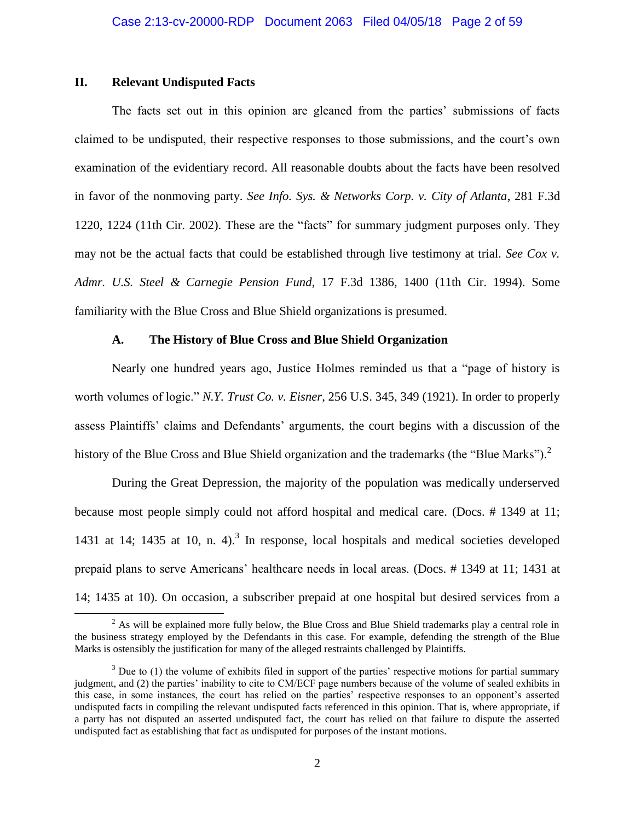## **II. Relevant Undisputed Facts**

 $\overline{\phantom{a}}$ 

The facts set out in this opinion are gleaned from the parties' submissions of facts claimed to be undisputed, their respective responses to those submissions, and the court's own examination of the evidentiary record. All reasonable doubts about the facts have been resolved in favor of the nonmoving party. *See Info. Sys. & Networks Corp. v. City of Atlanta*, 281 F.3d 1220, 1224 (11th Cir. 2002). These are the "facts" for summary judgment purposes only. They may not be the actual facts that could be established through live testimony at trial. *See Cox v. Admr. U.S. Steel & Carnegie Pension Fund*, 17 F.3d 1386, 1400 (11th Cir. 1994). Some familiarity with the Blue Cross and Blue Shield organizations is presumed.

## **A. The History of Blue Cross and Blue Shield Organization**

Nearly one hundred years ago, Justice Holmes reminded us that a "page of history is worth volumes of logic." *N.Y. Trust Co. v. Eisner*, 256 U.S. 345, 349 (1921). In order to properly assess Plaintiffs' claims and Defendants' arguments, the court begins with a discussion of the history of the Blue Cross and Blue Shield organization and the trademarks (the "Blue Marks").<sup>2</sup>

During the Great Depression, the majority of the population was medically underserved because most people simply could not afford hospital and medical care. (Docs. # 1349 at 11; 1431 at 14; 1435 at 10, n. 4 $1$ <sup>3</sup> In response, local hospitals and medical societies developed prepaid plans to serve Americans' healthcare needs in local areas. (Docs. # 1349 at 11; 1431 at 14; 1435 at 10). On occasion, a subscriber prepaid at one hospital but desired services from a

<sup>&</sup>lt;sup>2</sup> As will be explained more fully below, the Blue Cross and Blue Shield trademarks play a central role in the business strategy employed by the Defendants in this case. For example, defending the strength of the Blue Marks is ostensibly the justification for many of the alleged restraints challenged by Plaintiffs.

 $3$  Due to (1) the volume of exhibits filed in support of the parties' respective motions for partial summary judgment, and (2) the parties' inability to cite to CM/ECF page numbers because of the volume of sealed exhibits in this case, in some instances, the court has relied on the parties' respective responses to an opponent's asserted undisputed facts in compiling the relevant undisputed facts referenced in this opinion. That is, where appropriate, if a party has not disputed an asserted undisputed fact, the court has relied on that failure to dispute the asserted undisputed fact as establishing that fact as undisputed for purposes of the instant motions.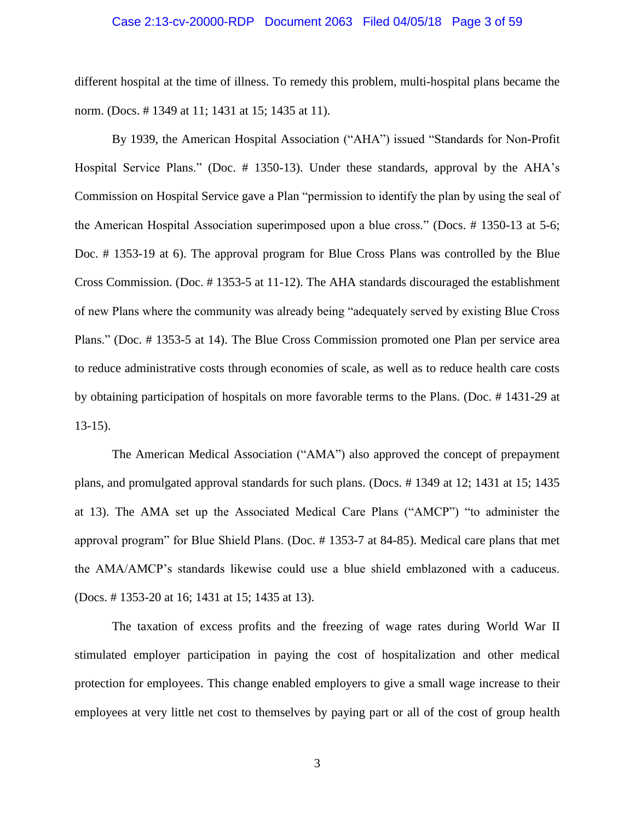#### Case 2:13-cv-20000-RDP Document 2063 Filed 04/05/18 Page 3 of 59

different hospital at the time of illness. To remedy this problem, multi-hospital plans became the norm. (Docs. # 1349 at 11; 1431 at 15; 1435 at 11).

By 1939, the American Hospital Association ("AHA") issued "Standards for Non-Profit Hospital Service Plans." (Doc. # 1350-13). Under these standards, approval by the AHA's Commission on Hospital Service gave a Plan "permission to identify the plan by using the seal of the American Hospital Association superimposed upon a blue cross." (Docs. # 1350-13 at 5-6; Doc. # 1353-19 at 6). The approval program for Blue Cross Plans was controlled by the Blue Cross Commission. (Doc. # 1353-5 at 11-12). The AHA standards discouraged the establishment of new Plans where the community was already being "adequately served by existing Blue Cross Plans." (Doc. # 1353-5 at 14). The Blue Cross Commission promoted one Plan per service area to reduce administrative costs through economies of scale, as well as to reduce health care costs by obtaining participation of hospitals on more favorable terms to the Plans. (Doc. # 1431-29 at 13-15).

The American Medical Association ("AMA") also approved the concept of prepayment plans, and promulgated approval standards for such plans. (Docs. # 1349 at 12; 1431 at 15; 1435 at 13). The AMA set up the Associated Medical Care Plans ("AMCP") "to administer the approval program" for Blue Shield Plans. (Doc. # 1353-7 at 84-85). Medical care plans that met the AMA/AMCP's standards likewise could use a blue shield emblazoned with a caduceus. (Docs. # 1353-20 at 16; 1431 at 15; 1435 at 13).

The taxation of excess profits and the freezing of wage rates during World War II stimulated employer participation in paying the cost of hospitalization and other medical protection for employees. This change enabled employers to give a small wage increase to their employees at very little net cost to themselves by paying part or all of the cost of group health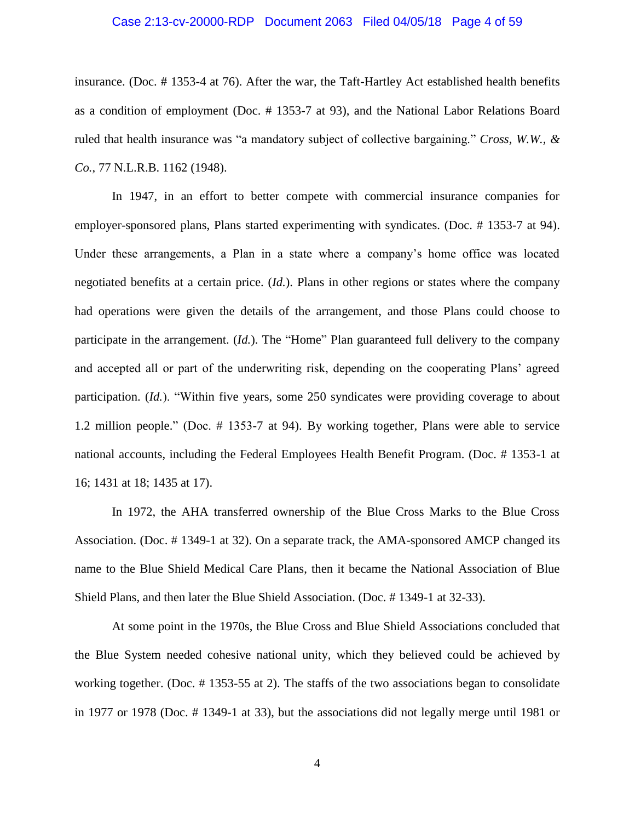### Case 2:13-cv-20000-RDP Document 2063 Filed 04/05/18 Page 4 of 59

insurance. (Doc. # 1353-4 at 76). After the war, the Taft-Hartley Act established health benefits as a condition of employment (Doc. # 1353-7 at 93), and the National Labor Relations Board ruled that health insurance was "a mandatory subject of collective bargaining." *Cross, W.W., & Co.*, 77 N.L.R.B. 1162 (1948).

In 1947, in an effort to better compete with commercial insurance companies for employer-sponsored plans, Plans started experimenting with syndicates. (Doc. # 1353-7 at 94). Under these arrangements, a Plan in a state where a company's home office was located negotiated benefits at a certain price. (*Id.*). Plans in other regions or states where the company had operations were given the details of the arrangement, and those Plans could choose to participate in the arrangement. (*Id.*). The "Home" Plan guaranteed full delivery to the company and accepted all or part of the underwriting risk, depending on the cooperating Plans' agreed participation. (*Id.*). "Within five years, some 250 syndicates were providing coverage to about 1.2 million people." (Doc. # 1353-7 at 94). By working together, Plans were able to service national accounts, including the Federal Employees Health Benefit Program. (Doc. # 1353-1 at 16; 1431 at 18; 1435 at 17).

In 1972, the AHA transferred ownership of the Blue Cross Marks to the Blue Cross Association. (Doc. # 1349-1 at 32). On a separate track, the AMA-sponsored AMCP changed its name to the Blue Shield Medical Care Plans, then it became the National Association of Blue Shield Plans, and then later the Blue Shield Association. (Doc. # 1349-1 at 32-33).

At some point in the 1970s, the Blue Cross and Blue Shield Associations concluded that the Blue System needed cohesive national unity, which they believed could be achieved by working together. (Doc. # 1353-55 at 2). The staffs of the two associations began to consolidate in 1977 or 1978 (Doc. # 1349-1 at 33), but the associations did not legally merge until 1981 or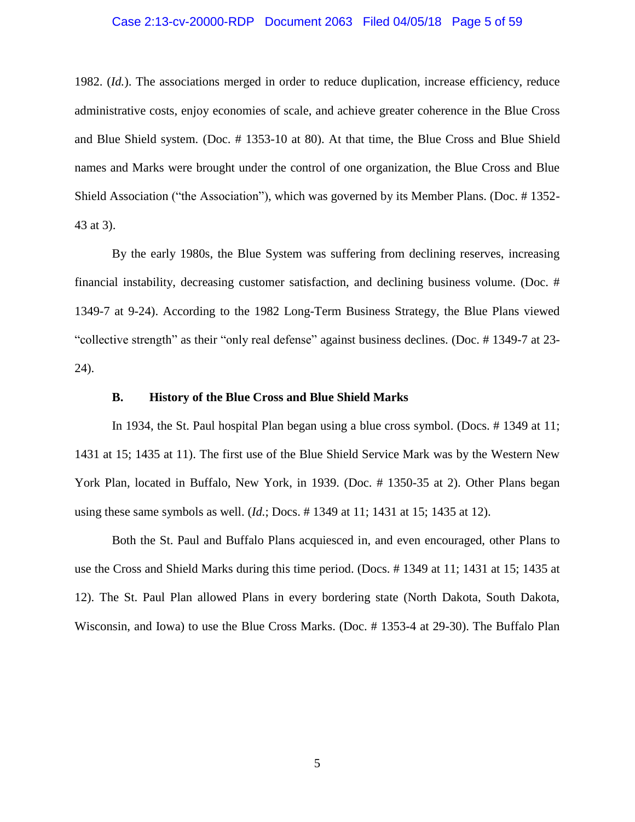#### Case 2:13-cv-20000-RDP Document 2063 Filed 04/05/18 Page 5 of 59

1982. (*Id.*). The associations merged in order to reduce duplication, increase efficiency, reduce administrative costs, enjoy economies of scale, and achieve greater coherence in the Blue Cross and Blue Shield system. (Doc. # 1353-10 at 80). At that time, the Blue Cross and Blue Shield names and Marks were brought under the control of one organization, the Blue Cross and Blue Shield Association ("the Association"), which was governed by its Member Plans. (Doc. # 1352- 43 at 3).

By the early 1980s, the Blue System was suffering from declining reserves, increasing financial instability, decreasing customer satisfaction, and declining business volume. (Doc. # 1349-7 at 9-24). According to the 1982 Long-Term Business Strategy, the Blue Plans viewed "collective strength" as their "only real defense" against business declines. (Doc. # 1349-7 at 23- 24).

### **B. History of the Blue Cross and Blue Shield Marks**

In 1934, the St. Paul hospital Plan began using a blue cross symbol. (Docs. # 1349 at 11; 1431 at 15; 1435 at 11). The first use of the Blue Shield Service Mark was by the Western New York Plan, located in Buffalo, New York, in 1939. (Doc. # 1350-35 at 2). Other Plans began using these same symbols as well. (*Id.*; Docs. # 1349 at 11; 1431 at 15; 1435 at 12).

Both the St. Paul and Buffalo Plans acquiesced in, and even encouraged, other Plans to use the Cross and Shield Marks during this time period. (Docs. # 1349 at 11; 1431 at 15; 1435 at 12). The St. Paul Plan allowed Plans in every bordering state (North Dakota, South Dakota, Wisconsin, and Iowa) to use the Blue Cross Marks. (Doc. # 1353-4 at 29-30). The Buffalo Plan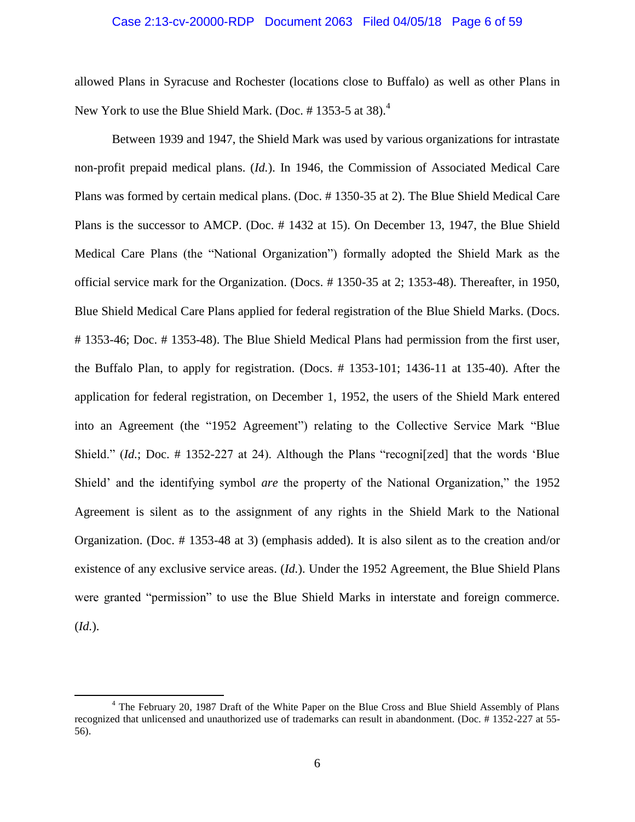## Case 2:13-cv-20000-RDP Document 2063 Filed 04/05/18 Page 6 of 59

allowed Plans in Syracuse and Rochester (locations close to Buffalo) as well as other Plans in New York to use the Blue Shield Mark. (Doc. #1353-5 at 38).<sup>4</sup>

Between 1939 and 1947, the Shield Mark was used by various organizations for intrastate non-profit prepaid medical plans. (*Id.*). In 1946, the Commission of Associated Medical Care Plans was formed by certain medical plans. (Doc. # 1350-35 at 2). The Blue Shield Medical Care Plans is the successor to AMCP. (Doc. # 1432 at 15). On December 13, 1947, the Blue Shield Medical Care Plans (the "National Organization") formally adopted the Shield Mark as the official service mark for the Organization. (Docs. # 1350-35 at 2; 1353-48). Thereafter, in 1950, Blue Shield Medical Care Plans applied for federal registration of the Blue Shield Marks. (Docs. # 1353-46; Doc. # 1353-48). The Blue Shield Medical Plans had permission from the first user, the Buffalo Plan, to apply for registration. (Docs. # 1353-101; 1436-11 at 135-40). After the application for federal registration, on December 1, 1952, the users of the Shield Mark entered into an Agreement (the "1952 Agreement") relating to the Collective Service Mark "Blue Shield." *(Id.*; Doc. # 1352-227 at 24). Although the Plans "recognized] that the words 'Blue Shield' and the identifying symbol *are* the property of the National Organization," the 1952 Agreement is silent as to the assignment of any rights in the Shield Mark to the National Organization. (Doc. # 1353-48 at 3) (emphasis added). It is also silent as to the creation and/or existence of any exclusive service areas. (*Id.*). Under the 1952 Agreement, the Blue Shield Plans were granted "permission" to use the Blue Shield Marks in interstate and foreign commerce. (*Id.*).

<sup>&</sup>lt;sup>4</sup> The February 20, 1987 Draft of the White Paper on the Blue Cross and Blue Shield Assembly of Plans recognized that unlicensed and unauthorized use of trademarks can result in abandonment. (Doc. # 1352-227 at 55- 56).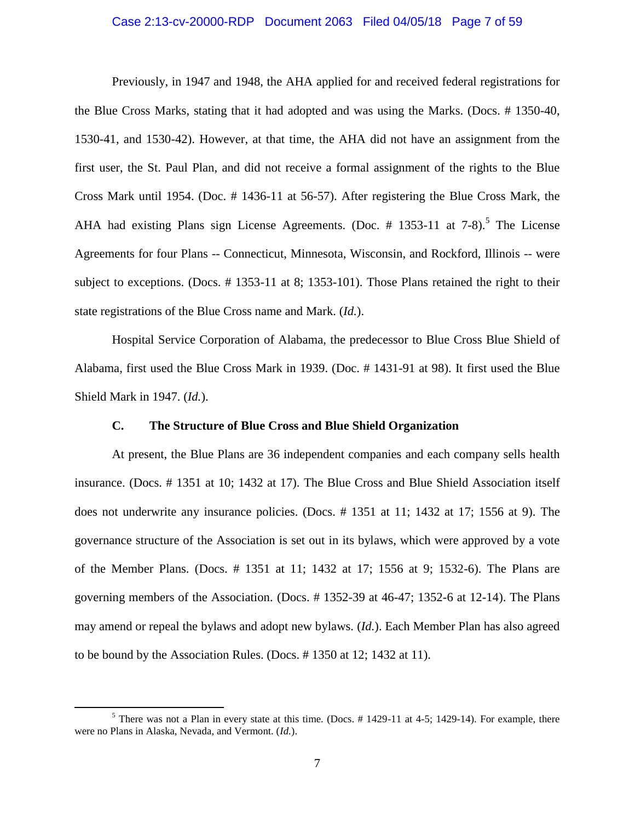### Case 2:13-cv-20000-RDP Document 2063 Filed 04/05/18 Page 7 of 59

Previously, in 1947 and 1948, the AHA applied for and received federal registrations for the Blue Cross Marks, stating that it had adopted and was using the Marks. (Docs. # 1350-40, 1530-41, and 1530-42). However, at that time, the AHA did not have an assignment from the first user, the St. Paul Plan, and did not receive a formal assignment of the rights to the Blue Cross Mark until 1954. (Doc. # 1436-11 at 56-57). After registering the Blue Cross Mark, the AHA had existing Plans sign License Agreements. (Doc.  $#$  1353-11 at 7-8).<sup>5</sup> The License Agreements for four Plans -- Connecticut, Minnesota, Wisconsin, and Rockford, Illinois -- were subject to exceptions. (Docs. # 1353-11 at 8; 1353-101). Those Plans retained the right to their state registrations of the Blue Cross name and Mark. (*Id.*).

Hospital Service Corporation of Alabama, the predecessor to Blue Cross Blue Shield of Alabama, first used the Blue Cross Mark in 1939. (Doc. # 1431-91 at 98). It first used the Blue Shield Mark in 1947. (*Id.*).

#### **C. The Structure of Blue Cross and Blue Shield Organization**

At present, the Blue Plans are 36 independent companies and each company sells health insurance. (Docs. # 1351 at 10; 1432 at 17). The Blue Cross and Blue Shield Association itself does not underwrite any insurance policies. (Docs. # 1351 at 11; 1432 at 17; 1556 at 9). The governance structure of the Association is set out in its bylaws, which were approved by a vote of the Member Plans. (Docs. # 1351 at 11; 1432 at 17; 1556 at 9; 1532-6). The Plans are governing members of the Association. (Docs. # 1352-39 at 46-47; 1352-6 at 12-14). The Plans may amend or repeal the bylaws and adopt new bylaws. (*Id.*). Each Member Plan has also agreed to be bound by the Association Rules. (Docs. # 1350 at 12; 1432 at 11).

l

 $5$  There was not a Plan in every state at this time. (Docs. # 1429-11 at 4-5; 1429-14). For example, there were no Plans in Alaska, Nevada, and Vermont. (*Id.*).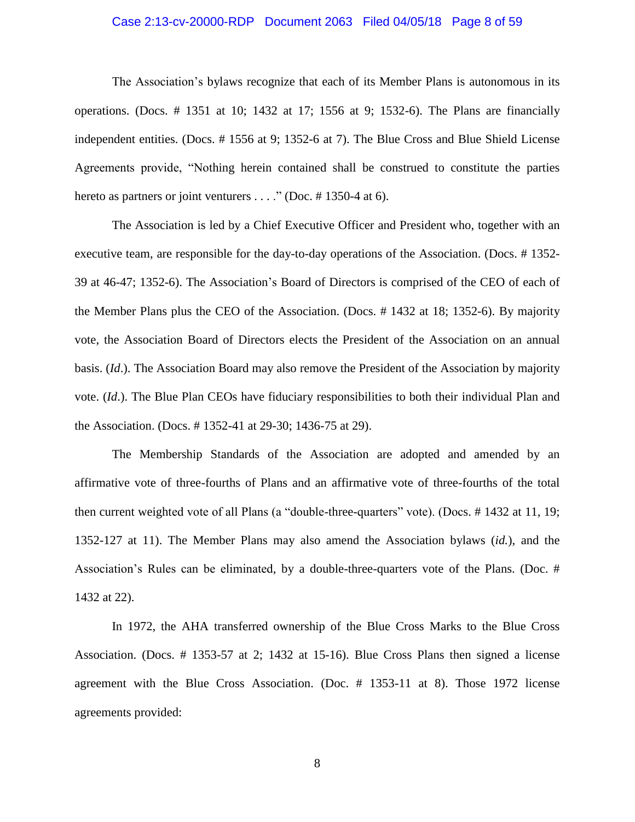#### Case 2:13-cv-20000-RDP Document 2063 Filed 04/05/18 Page 8 of 59

The Association's bylaws recognize that each of its Member Plans is autonomous in its operations. (Docs. # 1351 at 10; 1432 at 17; 1556 at 9; 1532-6). The Plans are financially independent entities. (Docs. # 1556 at 9; 1352-6 at 7). The Blue Cross and Blue Shield License Agreements provide, "Nothing herein contained shall be construed to constitute the parties hereto as partners or joint venturers . . . ." (Doc. #1350-4 at 6).

The Association is led by a Chief Executive Officer and President who, together with an executive team, are responsible for the day-to-day operations of the Association. (Docs. # 1352- 39 at 46-47; 1352-6). The Association's Board of Directors is comprised of the CEO of each of the Member Plans plus the CEO of the Association. (Docs. # 1432 at 18; 1352-6). By majority vote, the Association Board of Directors elects the President of the Association on an annual basis. (*Id*.). The Association Board may also remove the President of the Association by majority vote. (*Id*.). The Blue Plan CEOs have fiduciary responsibilities to both their individual Plan and the Association. (Docs. # 1352-41 at 29-30; 1436-75 at 29).

The Membership Standards of the Association are adopted and amended by an affirmative vote of three-fourths of Plans and an affirmative vote of three-fourths of the total then current weighted vote of all Plans (a "double-three-quarters" vote). (Docs. # 1432 at 11, 19; 1352-127 at 11). The Member Plans may also amend the Association bylaws (*id.*), and the Association's Rules can be eliminated, by a double-three-quarters vote of the Plans. (Doc. # 1432 at 22).

In 1972, the AHA transferred ownership of the Blue Cross Marks to the Blue Cross Association. (Docs. # 1353-57 at 2; 1432 at 15-16). Blue Cross Plans then signed a license agreement with the Blue Cross Association. (Doc. # 1353-11 at 8). Those 1972 license agreements provided:

8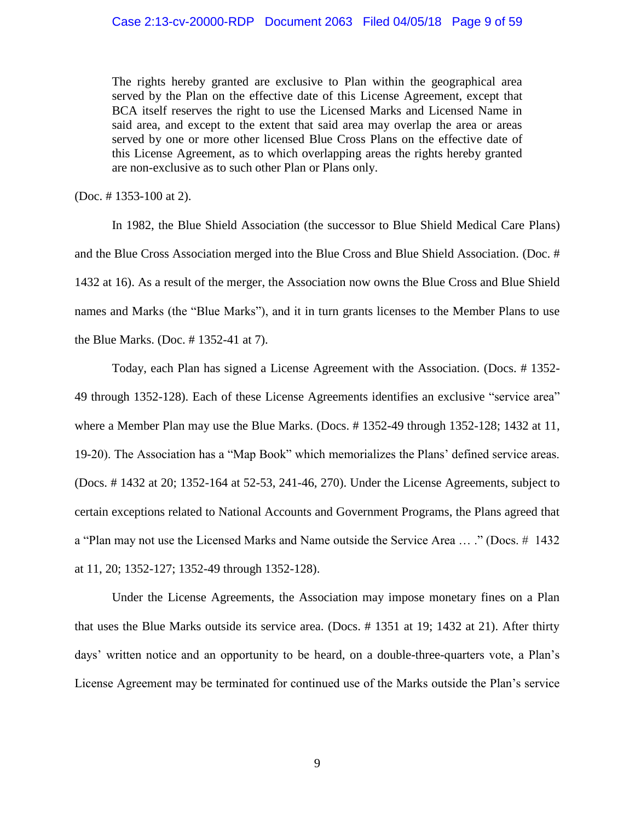The rights hereby granted are exclusive to Plan within the geographical area served by the Plan on the effective date of this License Agreement, except that BCA itself reserves the right to use the Licensed Marks and Licensed Name in said area, and except to the extent that said area may overlap the area or areas served by one or more other licensed Blue Cross Plans on the effective date of this License Agreement, as to which overlapping areas the rights hereby granted are non-exclusive as to such other Plan or Plans only.

(Doc. # 1353-100 at 2).

In 1982, the Blue Shield Association (the successor to Blue Shield Medical Care Plans) and the Blue Cross Association merged into the Blue Cross and Blue Shield Association. (Doc. # 1432 at 16). As a result of the merger, the Association now owns the Blue Cross and Blue Shield names and Marks (the "Blue Marks"), and it in turn grants licenses to the Member Plans to use the Blue Marks. (Doc. # 1352-41 at 7).

Today, each Plan has signed a License Agreement with the Association. (Docs. # 1352- 49 through 1352-128). Each of these License Agreements identifies an exclusive "service area" where a Member Plan may use the Blue Marks. (Docs. # 1352-49 through 1352-128; 1432 at 11, 19-20). The Association has a "Map Book" which memorializes the Plans' defined service areas. (Docs. # 1432 at 20; 1352-164 at 52-53, 241-46, 270). Under the License Agreements, subject to certain exceptions related to National Accounts and Government Programs, the Plans agreed that a "Plan may not use the Licensed Marks and Name outside the Service Area … ." (Docs. # 1432 at 11, 20; 1352-127; 1352-49 through 1352-128).

Under the License Agreements, the Association may impose monetary fines on a Plan that uses the Blue Marks outside its service area. (Docs. # 1351 at 19; 1432 at 21). After thirty days' written notice and an opportunity to be heard, on a double-three-quarters vote, a Plan's License Agreement may be terminated for continued use of the Marks outside the Plan's service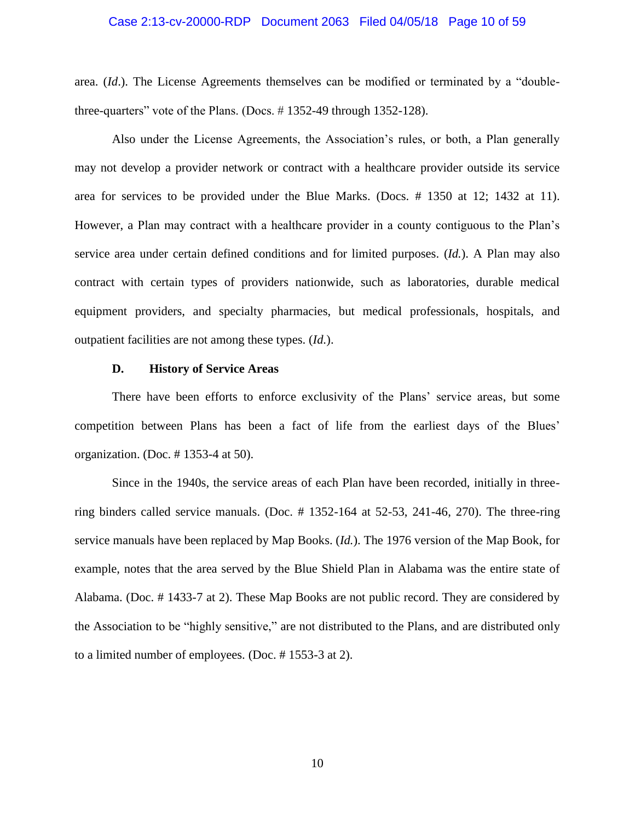#### Case 2:13-cv-20000-RDP Document 2063 Filed 04/05/18 Page 10 of 59

area. (*Id*.). The License Agreements themselves can be modified or terminated by a "doublethree-quarters" vote of the Plans. (Docs. # 1352-49 through 1352-128).

Also under the License Agreements, the Association's rules, or both, a Plan generally may not develop a provider network or contract with a healthcare provider outside its service area for services to be provided under the Blue Marks. (Docs. # 1350 at 12; 1432 at 11). However, a Plan may contract with a healthcare provider in a county contiguous to the Plan's service area under certain defined conditions and for limited purposes. (*Id.*). A Plan may also contract with certain types of providers nationwide, such as laboratories, durable medical equipment providers, and specialty pharmacies, but medical professionals, hospitals, and outpatient facilities are not among these types. (*Id.*).

### **D. History of Service Areas**

There have been efforts to enforce exclusivity of the Plans' service areas, but some competition between Plans has been a fact of life from the earliest days of the Blues' organization. (Doc. # 1353-4 at 50).

Since in the 1940s, the service areas of each Plan have been recorded, initially in threering binders called service manuals. (Doc. # 1352-164 at 52-53, 241-46, 270). The three-ring service manuals have been replaced by Map Books. (*Id.*). The 1976 version of the Map Book, for example, notes that the area served by the Blue Shield Plan in Alabama was the entire state of Alabama. (Doc. # 1433-7 at 2). These Map Books are not public record. They are considered by the Association to be "highly sensitive," are not distributed to the Plans, and are distributed only to a limited number of employees. (Doc. # 1553-3 at 2).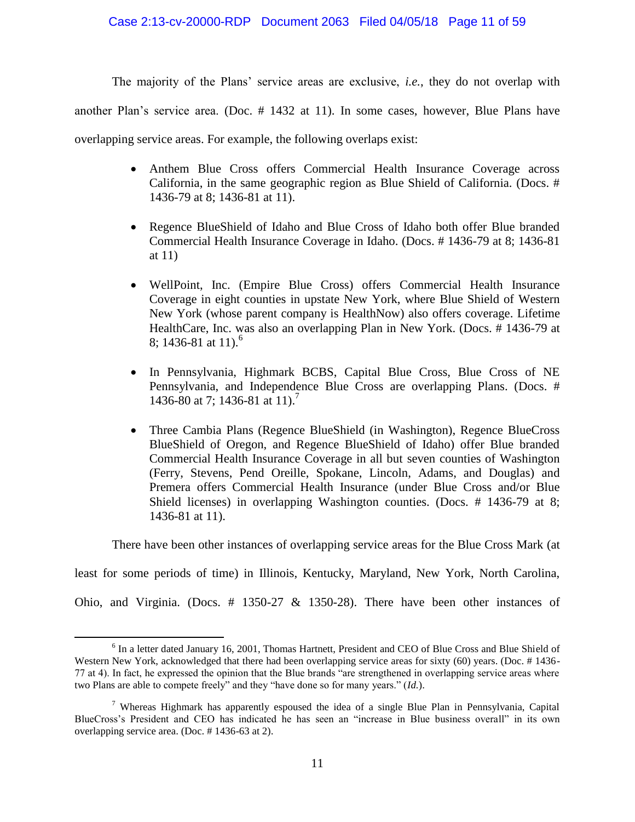The majority of the Plans' service areas are exclusive, *i.e.*, they do not overlap with

another Plan's service area. (Doc. # 1432 at 11). In some cases, however, Blue Plans have

overlapping service areas. For example, the following overlaps exist:

- Anthem Blue Cross offers Commercial Health Insurance Coverage across California, in the same geographic region as Blue Shield of California. (Docs. # 1436-79 at 8; 1436-81 at 11).
- Regence BlueShield of Idaho and Blue Cross of Idaho both offer Blue branded Commercial Health Insurance Coverage in Idaho. (Docs. # 1436-79 at 8; 1436-81 at 11)
- WellPoint, Inc. (Empire Blue Cross) offers Commercial Health Insurance Coverage in eight counties in upstate New York, where Blue Shield of Western New York (whose parent company is HealthNow) also offers coverage. Lifetime HealthCare, Inc. was also an overlapping Plan in New York. (Docs. # 1436-79 at 8; 1436-81 at 11).<sup>6</sup>
- In Pennsylvania, Highmark BCBS, Capital Blue Cross, Blue Cross of NE Pennsylvania, and Independence Blue Cross are overlapping Plans. (Docs. # 1436-80 at 7; 1436-81 at 11).<sup>7</sup>
- Three Cambia Plans (Regence BlueShield (in Washington), Regence BlueCross BlueShield of Oregon, and Regence BlueShield of Idaho) offer Blue branded Commercial Health Insurance Coverage in all but seven counties of Washington (Ferry, Stevens, Pend Oreille, Spokane, Lincoln, Adams, and Douglas) and Premera offers Commercial Health Insurance (under Blue Cross and/or Blue Shield licenses) in overlapping Washington counties. (Docs. # 1436-79 at 8; 1436-81 at 11).

There have been other instances of overlapping service areas for the Blue Cross Mark (at

least for some periods of time) in Illinois, Kentucky, Maryland, New York, North Carolina,

Ohio, and Virginia. (Docs. # 1350-27 & 1350-28). There have been other instances of

<sup>&</sup>lt;sup>6</sup> In a letter dated January 16, 2001, Thomas Hartnett, President and CEO of Blue Cross and Blue Shield of Western New York, acknowledged that there had been overlapping service areas for sixty (60) years. (Doc. #1436-77 at 4). In fact, he expressed the opinion that the Blue brands "are strengthened in overlapping service areas where two Plans are able to compete freely" and they "have done so for many years." (*Id.*).

<sup>&</sup>lt;sup>7</sup> Whereas Highmark has apparently espoused the idea of a single Blue Plan in Pennsylvania, Capital BlueCross's President and CEO has indicated he has seen an "increase in Blue business overall" in its own overlapping service area. (Doc. # 1436-63 at 2).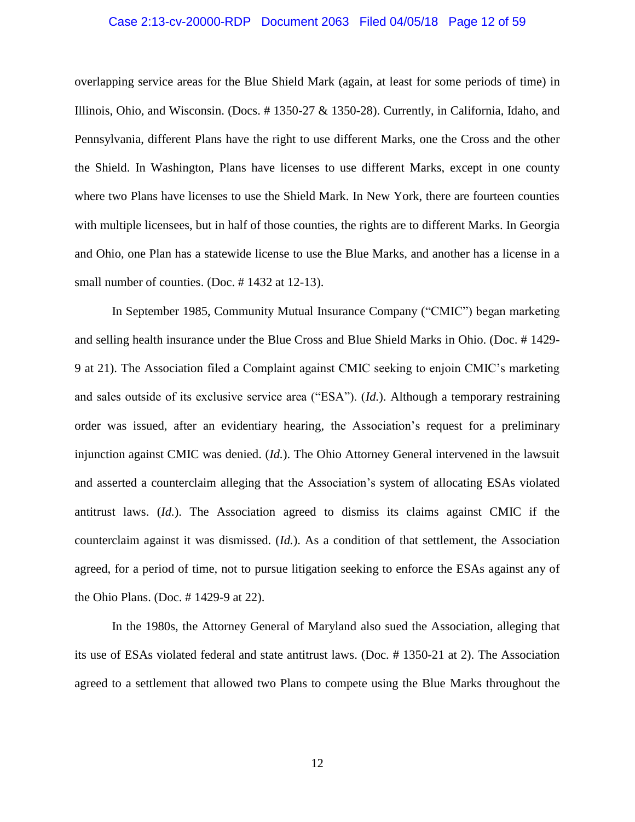#### Case 2:13-cv-20000-RDP Document 2063 Filed 04/05/18 Page 12 of 59

overlapping service areas for the Blue Shield Mark (again, at least for some periods of time) in Illinois, Ohio, and Wisconsin. (Docs. # 1350-27 & 1350-28). Currently, in California, Idaho, and Pennsylvania, different Plans have the right to use different Marks, one the Cross and the other the Shield. In Washington, Plans have licenses to use different Marks, except in one county where two Plans have licenses to use the Shield Mark. In New York, there are fourteen counties with multiple licensees, but in half of those counties, the rights are to different Marks. In Georgia and Ohio, one Plan has a statewide license to use the Blue Marks, and another has a license in a small number of counties. (Doc. #1432 at 12-13).

In September 1985, Community Mutual Insurance Company ("CMIC") began marketing and selling health insurance under the Blue Cross and Blue Shield Marks in Ohio. (Doc. # 1429- 9 at 21). The Association filed a Complaint against CMIC seeking to enjoin CMIC's marketing and sales outside of its exclusive service area ("ESA"). (*Id.*). Although a temporary restraining order was issued, after an evidentiary hearing, the Association's request for a preliminary injunction against CMIC was denied. (*Id.*). The Ohio Attorney General intervened in the lawsuit and asserted a counterclaim alleging that the Association's system of allocating ESAs violated antitrust laws. (*Id.*). The Association agreed to dismiss its claims against CMIC if the counterclaim against it was dismissed. (*Id.*). As a condition of that settlement, the Association agreed, for a period of time, not to pursue litigation seeking to enforce the ESAs against any of the Ohio Plans. (Doc. # 1429-9 at 22).

In the 1980s, the Attorney General of Maryland also sued the Association, alleging that its use of ESAs violated federal and state antitrust laws. (Doc. # 1350-21 at 2). The Association agreed to a settlement that allowed two Plans to compete using the Blue Marks throughout the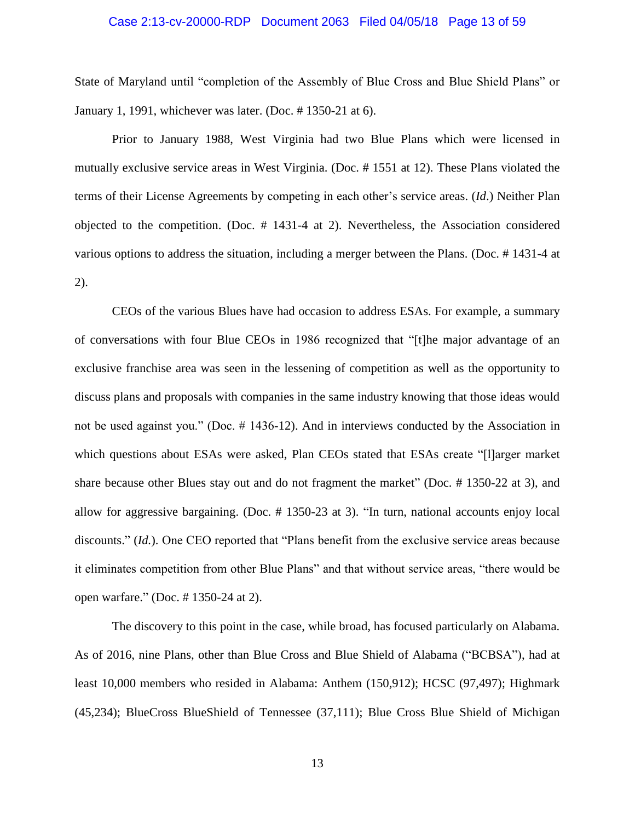#### Case 2:13-cv-20000-RDP Document 2063 Filed 04/05/18 Page 13 of 59

State of Maryland until "completion of the Assembly of Blue Cross and Blue Shield Plans" or January 1, 1991, whichever was later. (Doc. # 1350-21 at 6).

Prior to January 1988, West Virginia had two Blue Plans which were licensed in mutually exclusive service areas in West Virginia. (Doc. # 1551 at 12). These Plans violated the terms of their License Agreements by competing in each other's service areas. (*Id*.) Neither Plan objected to the competition. (Doc. # 1431-4 at 2). Nevertheless, the Association considered various options to address the situation, including a merger between the Plans. (Doc. # 1431-4 at 2).

CEOs of the various Blues have had occasion to address ESAs. For example, a summary of conversations with four Blue CEOs in 1986 recognized that "[t]he major advantage of an exclusive franchise area was seen in the lessening of competition as well as the opportunity to discuss plans and proposals with companies in the same industry knowing that those ideas would not be used against you." (Doc. # 1436-12). And in interviews conducted by the Association in which questions about ESAs were asked, Plan CEOs stated that ESAs create "[l]arger market share because other Blues stay out and do not fragment the market" (Doc. # 1350-22 at 3), and allow for aggressive bargaining. (Doc. # 1350-23 at 3). "In turn, national accounts enjoy local discounts." (*Id.*). One CEO reported that "Plans benefit from the exclusive service areas because it eliminates competition from other Blue Plans" and that without service areas, "there would be open warfare." (Doc. # 1350-24 at 2).

The discovery to this point in the case, while broad, has focused particularly on Alabama. As of 2016, nine Plans, other than Blue Cross and Blue Shield of Alabama ("BCBSA"), had at least 10,000 members who resided in Alabama: Anthem (150,912); HCSC (97,497); Highmark (45,234); BlueCross BlueShield of Tennessee (37,111); Blue Cross Blue Shield of Michigan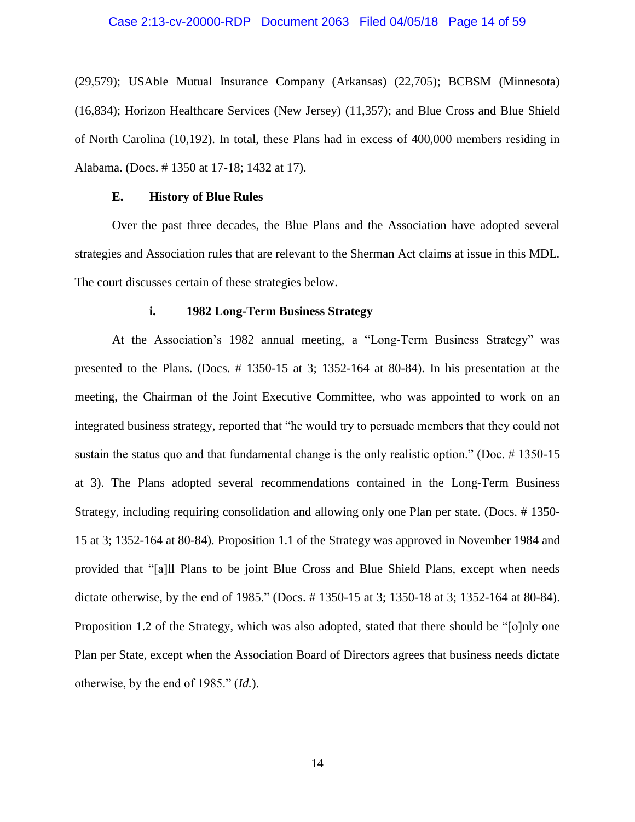#### Case 2:13-cv-20000-RDP Document 2063 Filed 04/05/18 Page 14 of 59

(29,579); USAble Mutual Insurance Company (Arkansas) (22,705); BCBSM (Minnesota) (16,834); Horizon Healthcare Services (New Jersey) (11,357); and Blue Cross and Blue Shield of North Carolina (10,192). In total, these Plans had in excess of 400,000 members residing in Alabama. (Docs. # 1350 at 17-18; 1432 at 17).

#### **E. History of Blue Rules**

Over the past three decades, the Blue Plans and the Association have adopted several strategies and Association rules that are relevant to the Sherman Act claims at issue in this MDL. The court discusses certain of these strategies below.

#### **i. 1982 Long-Term Business Strategy**

At the Association's 1982 annual meeting, a "Long-Term Business Strategy" was presented to the Plans. (Docs. # 1350-15 at 3; 1352-164 at 80-84). In his presentation at the meeting, the Chairman of the Joint Executive Committee, who was appointed to work on an integrated business strategy, reported that "he would try to persuade members that they could not sustain the status quo and that fundamental change is the only realistic option." (Doc. # 1350-15 at 3). The Plans adopted several recommendations contained in the Long-Term Business Strategy, including requiring consolidation and allowing only one Plan per state. (Docs. # 1350- 15 at 3; 1352-164 at 80-84). Proposition 1.1 of the Strategy was approved in November 1984 and provided that "[a]ll Plans to be joint Blue Cross and Blue Shield Plans, except when needs dictate otherwise, by the end of 1985." (Docs. # 1350-15 at 3; 1350-18 at 3; 1352-164 at 80-84). Proposition 1.2 of the Strategy, which was also adopted, stated that there should be "[o]nly one Plan per State, except when the Association Board of Directors agrees that business needs dictate otherwise, by the end of 1985." (*Id.*).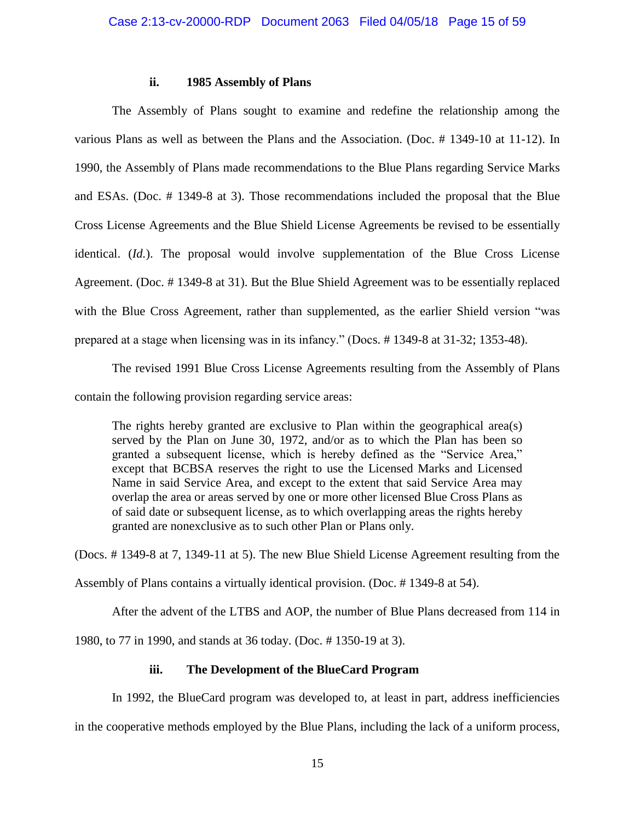## **ii. 1985 Assembly of Plans**

The Assembly of Plans sought to examine and redefine the relationship among the various Plans as well as between the Plans and the Association. (Doc. # 1349-10 at 11-12). In 1990, the Assembly of Plans made recommendations to the Blue Plans regarding Service Marks and ESAs. (Doc. # 1349-8 at 3). Those recommendations included the proposal that the Blue Cross License Agreements and the Blue Shield License Agreements be revised to be essentially identical. (*Id.*). The proposal would involve supplementation of the Blue Cross License Agreement. (Doc. # 1349-8 at 31). But the Blue Shield Agreement was to be essentially replaced with the Blue Cross Agreement, rather than supplemented, as the earlier Shield version "was prepared at a stage when licensing was in its infancy." (Docs. # 1349-8 at 31-32; 1353-48).

The revised 1991 Blue Cross License Agreements resulting from the Assembly of Plans contain the following provision regarding service areas:

The rights hereby granted are exclusive to Plan within the geographical area(s) served by the Plan on June 30, 1972, and/or as to which the Plan has been so granted a subsequent license, which is hereby defined as the "Service Area," except that BCBSA reserves the right to use the Licensed Marks and Licensed Name in said Service Area, and except to the extent that said Service Area may overlap the area or areas served by one or more other licensed Blue Cross Plans as of said date or subsequent license, as to which overlapping areas the rights hereby granted are nonexclusive as to such other Plan or Plans only.

(Docs. # 1349-8 at 7, 1349-11 at 5). The new Blue Shield License Agreement resulting from the

Assembly of Plans contains a virtually identical provision. (Doc. # 1349-8 at 54).

After the advent of the LTBS and AOP, the number of Blue Plans decreased from 114 in

1980, to 77 in 1990, and stands at 36 today. (Doc. # 1350-19 at 3).

## **iii. The Development of the BlueCard Program**

In 1992, the BlueCard program was developed to, at least in part, address inefficiencies

in the cooperative methods employed by the Blue Plans, including the lack of a uniform process,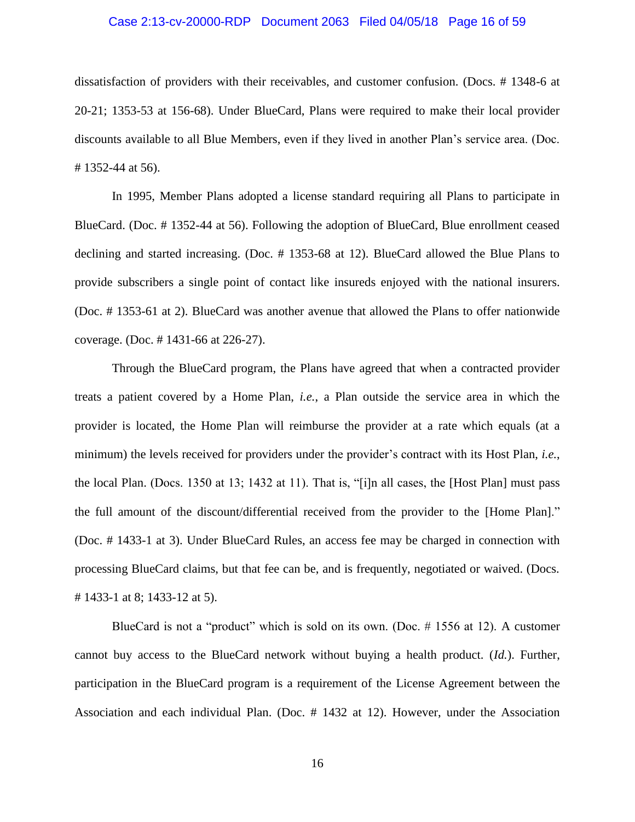#### Case 2:13-cv-20000-RDP Document 2063 Filed 04/05/18 Page 16 of 59

dissatisfaction of providers with their receivables, and customer confusion. (Docs. # 1348-6 at 20-21; 1353-53 at 156-68). Under BlueCard, Plans were required to make their local provider discounts available to all Blue Members, even if they lived in another Plan's service area. (Doc. # 1352-44 at 56).

In 1995, Member Plans adopted a license standard requiring all Plans to participate in BlueCard. (Doc. # 1352-44 at 56). Following the adoption of BlueCard, Blue enrollment ceased declining and started increasing. (Doc. # 1353-68 at 12). BlueCard allowed the Blue Plans to provide subscribers a single point of contact like insureds enjoyed with the national insurers. (Doc. # 1353-61 at 2). BlueCard was another avenue that allowed the Plans to offer nationwide coverage. (Doc. # 1431-66 at 226-27).

Through the BlueCard program, the Plans have agreed that when a contracted provider treats a patient covered by a Home Plan, *i.e.*, a Plan outside the service area in which the provider is located, the Home Plan will reimburse the provider at a rate which equals (at a minimum) the levels received for providers under the provider's contract with its Host Plan, *i.e.*, the local Plan. (Docs. 1350 at 13; 1432 at 11). That is, "[i]n all cases, the [Host Plan] must pass the full amount of the discount/differential received from the provider to the [Home Plan]." (Doc. # 1433-1 at 3). Under BlueCard Rules, an access fee may be charged in connection with processing BlueCard claims, but that fee can be, and is frequently, negotiated or waived. (Docs. # 1433-1 at 8; 1433-12 at 5).

BlueCard is not a "product" which is sold on its own. (Doc. # 1556 at 12). A customer cannot buy access to the BlueCard network without buying a health product. (*Id.*). Further, participation in the BlueCard program is a requirement of the License Agreement between the Association and each individual Plan. (Doc. # 1432 at 12). However, under the Association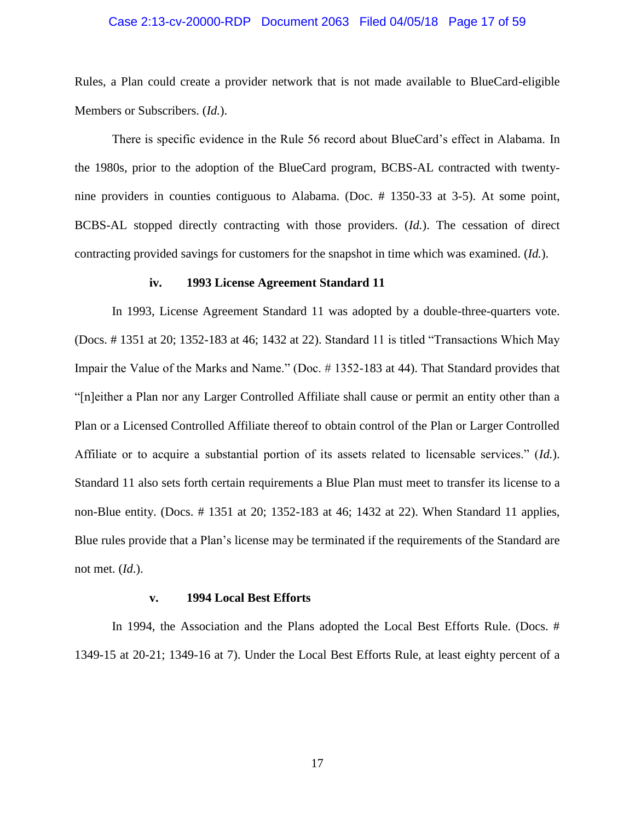### Case 2:13-cv-20000-RDP Document 2063 Filed 04/05/18 Page 17 of 59

Rules, a Plan could create a provider network that is not made available to BlueCard-eligible Members or Subscribers. (*Id.*).

There is specific evidence in the Rule 56 record about BlueCard's effect in Alabama. In the 1980s, prior to the adoption of the BlueCard program, BCBS-AL contracted with twentynine providers in counties contiguous to Alabama. (Doc. # 1350-33 at 3-5). At some point, BCBS-AL stopped directly contracting with those providers. (*Id.*). The cessation of direct contracting provided savings for customers for the snapshot in time which was examined. (*Id.*).

#### **iv. 1993 License Agreement Standard 11**

In 1993, License Agreement Standard 11 was adopted by a double-three-quarters vote. (Docs. # 1351 at 20; 1352-183 at 46; 1432 at 22). Standard 11 is titled "Transactions Which May Impair the Value of the Marks and Name." (Doc. # 1352-183 at 44). That Standard provides that "[n]either a Plan nor any Larger Controlled Affiliate shall cause or permit an entity other than a Plan or a Licensed Controlled Affiliate thereof to obtain control of the Plan or Larger Controlled Affiliate or to acquire a substantial portion of its assets related to licensable services." (*Id.*). Standard 11 also sets forth certain requirements a Blue Plan must meet to transfer its license to a non-Blue entity. (Docs. # 1351 at 20; 1352-183 at 46; 1432 at 22). When Standard 11 applies, Blue rules provide that a Plan's license may be terminated if the requirements of the Standard are not met. (*Id*.).

#### **v. 1994 Local Best Efforts**

In 1994, the Association and the Plans adopted the Local Best Efforts Rule. (Docs. # 1349-15 at 20-21; 1349-16 at 7). Under the Local Best Efforts Rule, at least eighty percent of a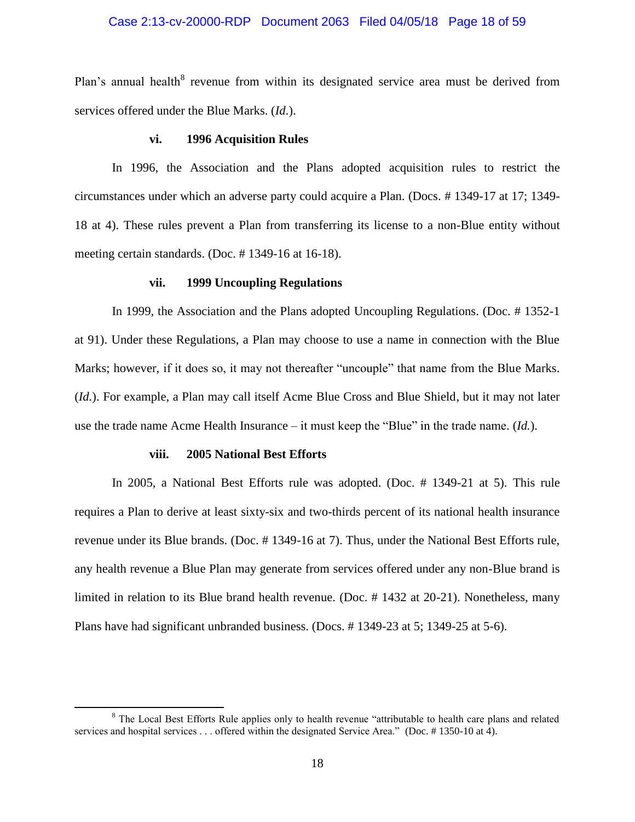### Case 2:13-cv-20000-RDP Document 2063 Filed 04/05/18 Page 18 of 59

Plan's annual health<sup>8</sup> revenue from within its designated service area must be derived from services offered under the Blue Marks. (*Id*.).

#### **vi. 1996 Acquisition Rules**

In 1996, the Association and the Plans adopted acquisition rules to restrict the circumstances under which an adverse party could acquire a Plan. (Docs. # 1349-17 at 17; 1349- 18 at 4). These rules prevent a Plan from transferring its license to a non-Blue entity without meeting certain standards. (Doc. # 1349-16 at 16-18).

#### **vii. 1999 Uncoupling Regulations**

In 1999, the Association and the Plans adopted Uncoupling Regulations. (Doc. # 1352-1 at 91). Under these Regulations, a Plan may choose to use a name in connection with the Blue Marks; however, if it does so, it may not thereafter "uncouple" that name from the Blue Marks. (*Id.*). For example, a Plan may call itself Acme Blue Cross and Blue Shield, but it may not later use the trade name Acme Health Insurance – it must keep the "Blue" in the trade name. (*Id.*).

### **viii. 2005 National Best Efforts**

l

In 2005, a National Best Efforts rule was adopted. (Doc. # 1349-21 at 5). This rule requires a Plan to derive at least sixty-six and two-thirds percent of its national health insurance revenue under its Blue brands. (Doc. # 1349-16 at 7). Thus, under the National Best Efforts rule, any health revenue a Blue Plan may generate from services offered under any non-Blue brand is limited in relation to its Blue brand health revenue. (Doc. # 1432 at 20-21). Nonetheless, many Plans have had significant unbranded business. (Docs. # 1349-23 at 5; 1349-25 at 5-6).

<sup>&</sup>lt;sup>8</sup> The Local Best Efforts Rule applies only to health revenue "attributable to health care plans and related services and hospital services . . . offered within the designated Service Area." (Doc. # 1350-10 at 4).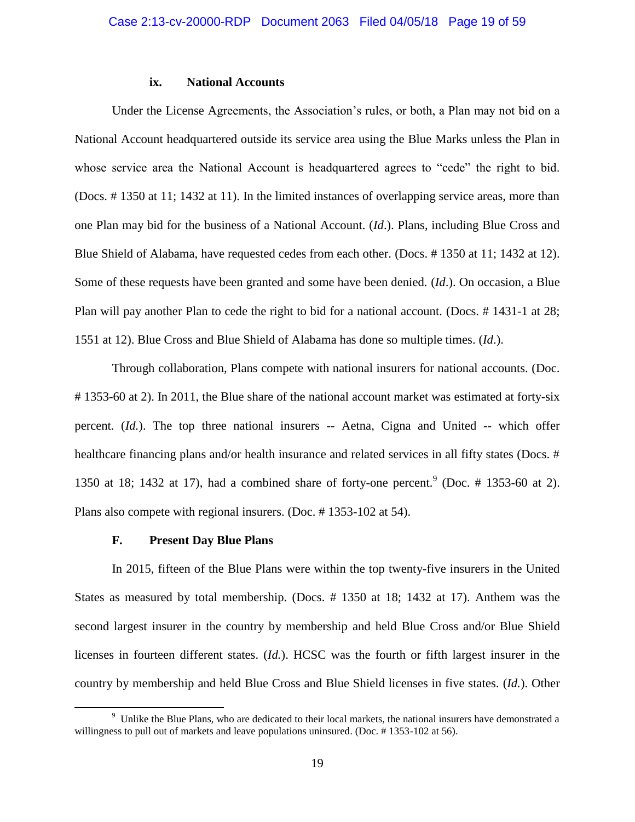### **ix. National Accounts**

Under the License Agreements, the Association's rules, or both, a Plan may not bid on a National Account headquartered outside its service area using the Blue Marks unless the Plan in whose service area the National Account is headquartered agrees to "cede" the right to bid. (Docs. # 1350 at 11; 1432 at 11). In the limited instances of overlapping service areas, more than one Plan may bid for the business of a National Account. (*Id*.). Plans, including Blue Cross and Blue Shield of Alabama, have requested cedes from each other. (Docs. # 1350 at 11; 1432 at 12). Some of these requests have been granted and some have been denied. (*Id*.). On occasion, a Blue Plan will pay another Plan to cede the right to bid for a national account. (Docs. # 1431-1 at 28; 1551 at 12). Blue Cross and Blue Shield of Alabama has done so multiple times. (*Id*.).

Through collaboration, Plans compete with national insurers for national accounts. (Doc. # 1353-60 at 2). In 2011, the Blue share of the national account market was estimated at forty-six percent. (*Id.*). The top three national insurers -- Aetna, Cigna and United -- which offer healthcare financing plans and/or health insurance and related services in all fifty states (Docs. # 1350 at 18; 1432 at 17), had a combined share of forty-one percent.<sup>9</sup> (Doc.  $\#$  1353-60 at 2). Plans also compete with regional insurers. (Doc. # 1353-102 at 54).

#### **F. Present Day Blue Plans**

l

In 2015, fifteen of the Blue Plans were within the top twenty-five insurers in the United States as measured by total membership. (Docs. # 1350 at 18; 1432 at 17). Anthem was the second largest insurer in the country by membership and held Blue Cross and/or Blue Shield licenses in fourteen different states. (*Id.*). HCSC was the fourth or fifth largest insurer in the country by membership and held Blue Cross and Blue Shield licenses in five states. (*Id.*). Other

<sup>9</sup> Unlike the Blue Plans, who are dedicated to their local markets, the national insurers have demonstrated a willingness to pull out of markets and leave populations uninsured. (Doc. #1353-102 at 56).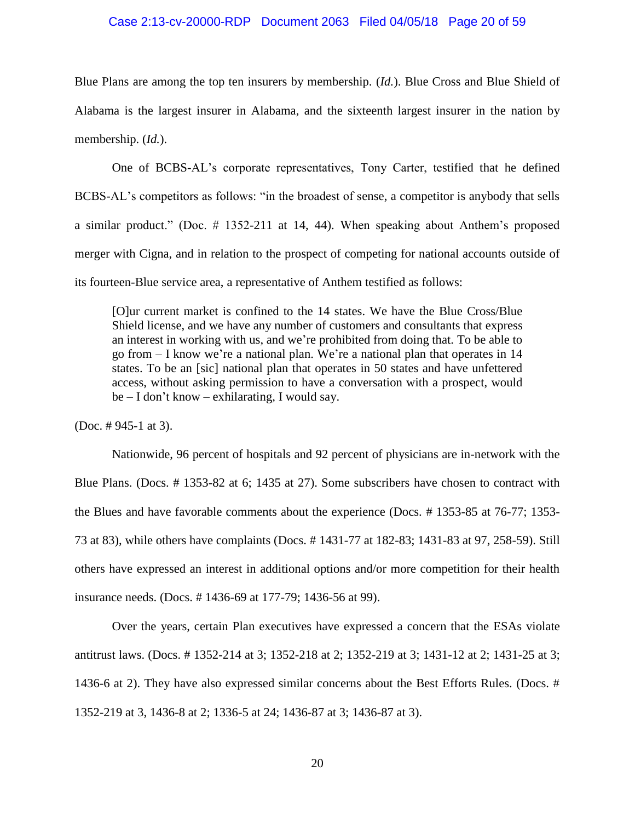#### Case 2:13-cv-20000-RDP Document 2063 Filed 04/05/18 Page 20 of 59

Blue Plans are among the top ten insurers by membership. (*Id.*). Blue Cross and Blue Shield of Alabama is the largest insurer in Alabama, and the sixteenth largest insurer in the nation by membership. (*Id.*).

One of BCBS-AL's corporate representatives, Tony Carter, testified that he defined BCBS-AL's competitors as follows: "in the broadest of sense, a competitor is anybody that sells a similar product." (Doc. # 1352-211 at 14, 44). When speaking about Anthem's proposed merger with Cigna, and in relation to the prospect of competing for national accounts outside of its fourteen-Blue service area, a representative of Anthem testified as follows:

[O]ur current market is confined to the 14 states. We have the Blue Cross/Blue Shield license, and we have any number of customers and consultants that express an interest in working with us, and we're prohibited from doing that. To be able to go from – I know we're a national plan. We're a national plan that operates in 14 states. To be an [sic] national plan that operates in 50 states and have unfettered access, without asking permission to have a conversation with a prospect, would be – I don't know – exhilarating, I would say.

(Doc. # 945-1 at 3).

Nationwide, 96 percent of hospitals and 92 percent of physicians are in-network with the Blue Plans. (Docs. # 1353-82 at 6; 1435 at 27). Some subscribers have chosen to contract with the Blues and have favorable comments about the experience (Docs. # 1353-85 at 76-77; 1353- 73 at 83), while others have complaints (Docs. # 1431-77 at 182-83; 1431-83 at 97, 258-59). Still others have expressed an interest in additional options and/or more competition for their health insurance needs. (Docs. # 1436-69 at 177-79; 1436-56 at 99).

Over the years, certain Plan executives have expressed a concern that the ESAs violate antitrust laws. (Docs. # 1352-214 at 3; 1352-218 at 2; 1352-219 at 3; 1431-12 at 2; 1431-25 at 3; 1436-6 at 2). They have also expressed similar concerns about the Best Efforts Rules. (Docs. # 1352-219 at 3, 1436-8 at 2; 1336-5 at 24; 1436-87 at 3; 1436-87 at 3).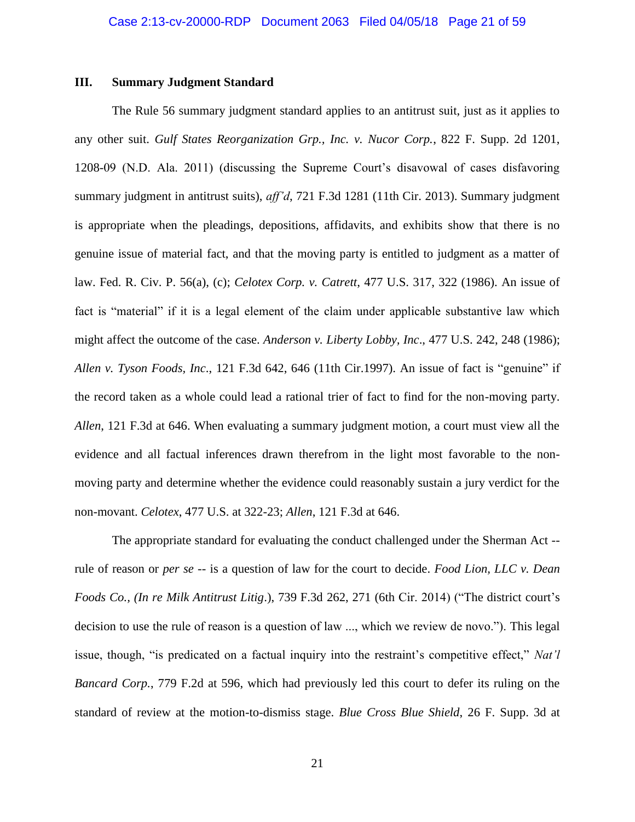#### **III. Summary Judgment Standard**

The Rule 56 summary judgment standard applies to an antitrust suit, just as it applies to any other suit. *Gulf States Reorganization Grp., Inc. v. Nucor Corp.*, 822 F. Supp. 2d 1201, 1208-09 (N.D. Ala. 2011) (discussing the Supreme Court's disavowal of cases disfavoring summary judgment in antitrust suits), *aff'd*, 721 F.3d 1281 (11th Cir. 2013). Summary judgment is appropriate when the pleadings, depositions, affidavits, and exhibits show that there is no genuine issue of material fact, and that the moving party is entitled to judgment as a matter of law. Fed. R. Civ. P. 56(a), (c); *Celotex Corp. v. Catrett*, 477 U.S. 317, 322 (1986). An issue of fact is "material" if it is a legal element of the claim under applicable substantive law which might affect the outcome of the case. *Anderson v. Liberty Lobby, Inc*., 477 U.S. 242, 248 (1986); *Allen v. Tyson Foods, Inc*., 121 F.3d 642, 646 (11th Cir.1997). An issue of fact is "genuine" if the record taken as a whole could lead a rational trier of fact to find for the non-moving party. *Allen*, 121 F.3d at 646. When evaluating a summary judgment motion, a court must view all the evidence and all factual inferences drawn therefrom in the light most favorable to the nonmoving party and determine whether the evidence could reasonably sustain a jury verdict for the non-movant. *Celotex*, 477 U.S. at 322-23; *Allen*, 121 F.3d at 646.

The appropriate standard for evaluating the conduct challenged under the Sherman Act - rule of reason or *per se* -- is a question of law for the court to decide. *Food Lion, LLC v. Dean Foods Co., (In re Milk Antitrust Litig*.), 739 F.3d 262, 271 (6th Cir. 2014) ("The district court's decision to use the rule of reason is a question of law ..., which we review de novo."). This legal issue, though, "is predicated on a factual inquiry into the restraint's competitive effect," *Nat'l Bancard Corp.*, 779 F.2d at 596, which had previously led this court to defer its ruling on the standard of review at the motion-to-dismiss stage. *Blue Cross Blue Shield*, 26 F. Supp. 3d at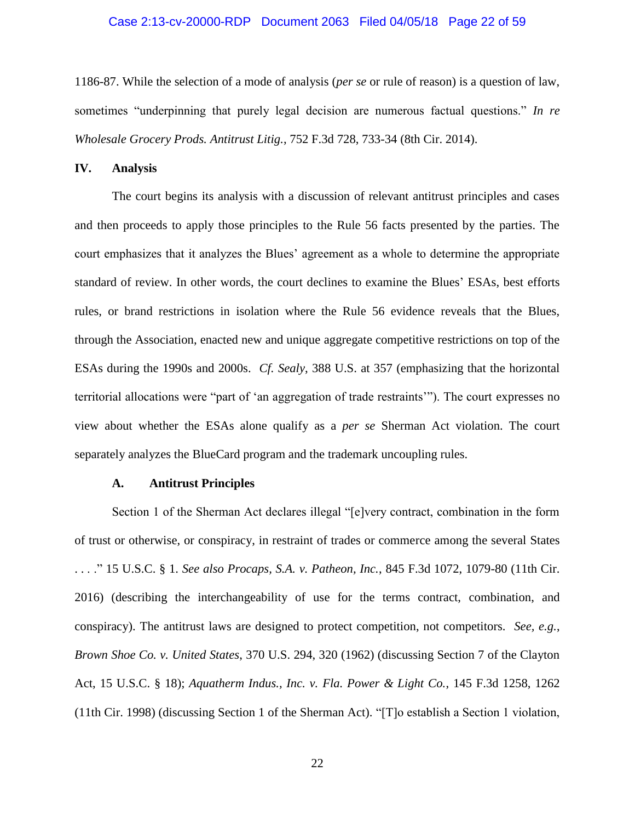#### Case 2:13-cv-20000-RDP Document 2063 Filed 04/05/18 Page 22 of 59

1186-87. While the selection of a mode of analysis (*per se* or rule of reason) is a question of law, sometimes "underpinning that purely legal decision are numerous factual questions." *In re Wholesale Grocery Prods. Antitrust Litig.*, 752 F.3d 728, 733-34 (8th Cir. 2014).

#### **IV. Analysis**

The court begins its analysis with a discussion of relevant antitrust principles and cases and then proceeds to apply those principles to the Rule 56 facts presented by the parties. The court emphasizes that it analyzes the Blues' agreement as a whole to determine the appropriate standard of review. In other words, the court declines to examine the Blues' ESAs, best efforts rules, or brand restrictions in isolation where the Rule 56 evidence reveals that the Blues, through the Association, enacted new and unique aggregate competitive restrictions on top of the ESAs during the 1990s and 2000s. *Cf. Sealy*, 388 U.S. at 357 (emphasizing that the horizontal territorial allocations were "part of 'an aggregation of trade restraints'"). The court expresses no view about whether the ESAs alone qualify as a *per se* Sherman Act violation. The court separately analyzes the BlueCard program and the trademark uncoupling rules.

### **A. Antitrust Principles**

Section 1 of the Sherman Act declares illegal "[e]very contract, combination in the form of trust or otherwise, or conspiracy, in restraint of trades or commerce among the several States . . . ." 15 U.S.C. § 1. *See also Procaps, S.A. v. Patheon, Inc.*, 845 F.3d 1072, 1079-80 (11th Cir. 2016) (describing the interchangeability of use for the terms contract, combination, and conspiracy). The antitrust laws are designed to protect competition, not competitors. *See, e.g.*, *Brown Shoe Co. v. United States*, 370 U.S. 294, 320 (1962) (discussing Section 7 of the Clayton Act, 15 U.S.C. § 18); *Aquatherm Indus., Inc. v. Fla. Power & Light Co.*, 145 F.3d 1258, 1262 (11th Cir. 1998) (discussing Section 1 of the Sherman Act). "[T]o establish a Section 1 violation,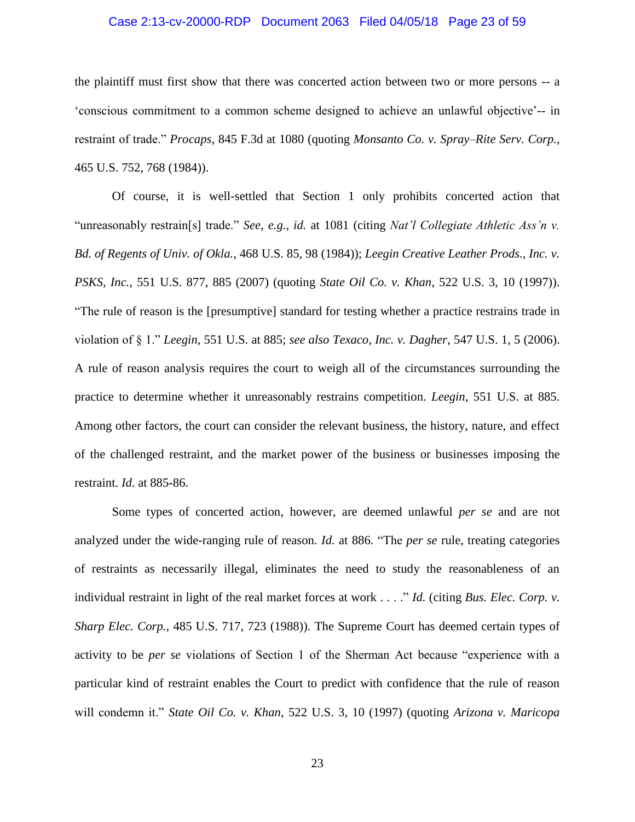### Case 2:13-cv-20000-RDP Document 2063 Filed 04/05/18 Page 23 of 59

the plaintiff must first show that there was concerted action between two or more persons -- a 'conscious commitment to a common scheme designed to achieve an unlawful objective'-- in restraint of trade." *Procaps*, 845 F.3d at 1080 (quoting *Monsanto Co. v. Spray–Rite Serv. Corp.*, 465 U.S. 752, 768 (1984)).

Of course, it is well-settled that Section 1 only prohibits concerted action that "unreasonably restrain[s] trade." *See, e.g., id.* at 1081 (citing *Nat'l Collegiate Athletic Ass'n v. Bd. of Regents of Univ. of Okla.*, 468 U.S. 85, 98 (1984)); *Leegin Creative Leather Prods., Inc. v. PSKS, Inc.*, 551 U.S. 877, 885 (2007) (quoting *State Oil Co. v. Khan*, 522 U.S. 3, 10 (1997)). "The rule of reason is the [presumptive] standard for testing whether a practice restrains trade in violation of § 1." *Leegin*, 551 U.S. at 885; *see also Texaco, Inc. v. Dagher*, 547 U.S. 1, 5 (2006). A rule of reason analysis requires the court to weigh all of the circumstances surrounding the practice to determine whether it unreasonably restrains competition. *Leegin*, 551 U.S. at 885. Among other factors, the court can consider the relevant business, the history, nature, and effect of the challenged restraint, and the market power of the business or businesses imposing the restraint. *Id.* at 885-86.

Some types of concerted action, however, are deemed unlawful *per se* and are not analyzed under the wide-ranging rule of reason. *Id.* at 886. "The *per se* rule, treating categories of restraints as necessarily illegal, eliminates the need to study the reasonableness of an individual restraint in light of the real market forces at work . . . ." *Id.* (citing *Bus. Elec. Corp. v. Sharp Elec. Corp.*, 485 U.S. 717, 723 (1988)). The Supreme Court has deemed certain types of activity to be *per se* violations of Section 1 of the Sherman Act because "experience with a particular kind of restraint enables the Court to predict with confidence that the rule of reason will condemn it." *State Oil Co. v. Khan*, 522 U.S. 3, 10 (1997) (quoting *Arizona v. Maricopa*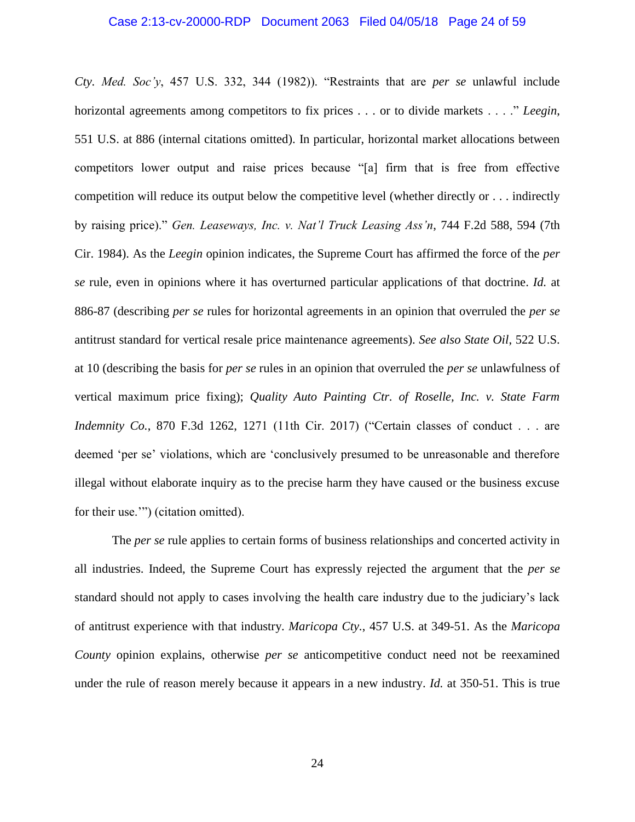*Cty. Med. Soc'y*, 457 U.S. 332, 344 (1982)). "Restraints that are *per se* unlawful include horizontal agreements among competitors to fix prices . . . or to divide markets . . . ." *Leegin*, 551 U.S. at 886 (internal citations omitted). In particular, horizontal market allocations between competitors lower output and raise prices because "[a] firm that is free from effective competition will reduce its output below the competitive level (whether directly or . . . indirectly by raising price)." *Gen. Leaseways, Inc. v. Nat'l Truck Leasing Ass'n*, 744 F.2d 588, 594 (7th Cir. 1984). As the *Leegin* opinion indicates, the Supreme Court has affirmed the force of the *per se* rule, even in opinions where it has overturned particular applications of that doctrine. *Id.* at 886-87 (describing *per se* rules for horizontal agreements in an opinion that overruled the *per se* antitrust standard for vertical resale price maintenance agreements). *See also State Oil*, 522 U.S. at 10 (describing the basis for *per se* rules in an opinion that overruled the *per se* unlawfulness of vertical maximum price fixing); *Quality Auto Painting Ctr. of Roselle, Inc. v. State Farm Indemnity Co.*, 870 F.3d 1262, 1271 (11th Cir. 2017) ("Certain classes of conduct . . . are deemed 'per se' violations, which are 'conclusively presumed to be unreasonable and therefore illegal without elaborate inquiry as to the precise harm they have caused or the business excuse for their use.'") (citation omitted).

The *per se* rule applies to certain forms of business relationships and concerted activity in all industries. Indeed, the Supreme Court has expressly rejected the argument that the *per se* standard should not apply to cases involving the health care industry due to the judiciary's lack of antitrust experience with that industry. *Maricopa Cty.*, 457 U.S. at 349-51. As the *Maricopa County* opinion explains, otherwise *per se* anticompetitive conduct need not be reexamined under the rule of reason merely because it appears in a new industry. *Id.* at 350-51. This is true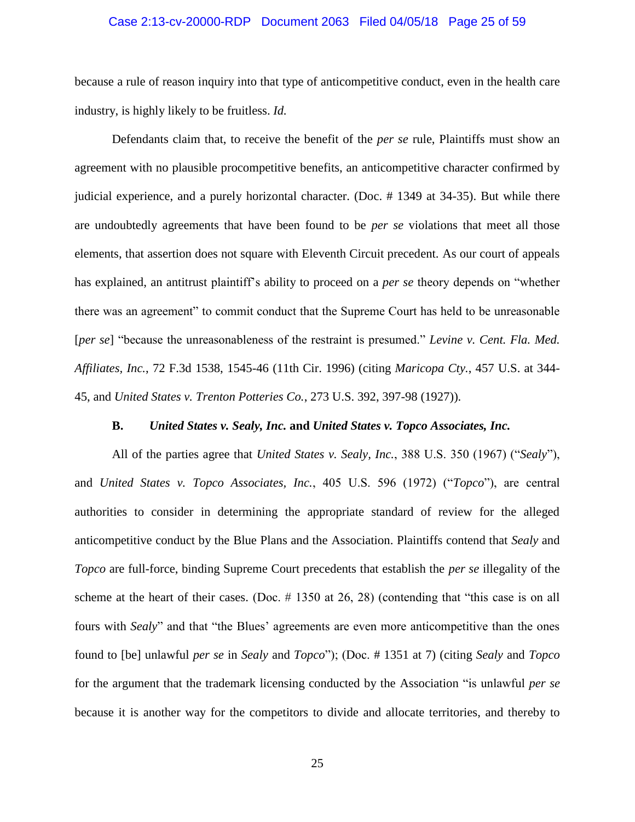### Case 2:13-cv-20000-RDP Document 2063 Filed 04/05/18 Page 25 of 59

because a rule of reason inquiry into that type of anticompetitive conduct, even in the health care industry, is highly likely to be fruitless. *Id.*

Defendants claim that, to receive the benefit of the *per se* rule, Plaintiffs must show an agreement with no plausible procompetitive benefits, an anticompetitive character confirmed by judicial experience, and a purely horizontal character. (Doc. # 1349 at 34-35). But while there are undoubtedly agreements that have been found to be *per se* violations that meet all those elements, that assertion does not square with Eleventh Circuit precedent. As our court of appeals has explained, an antitrust plaintiff's ability to proceed on a *per se* theory depends on "whether there was an agreement" to commit conduct that the Supreme Court has held to be unreasonable [*per se*] "because the unreasonableness of the restraint is presumed." *Levine v. Cent. Fla. Med. Affiliates, Inc.*, 72 F.3d 1538, 1545-46 (11th Cir. 1996) (citing *Maricopa Cty.*, 457 U.S. at 344- 45, and *United States v. Trenton Potteries Co.*, 273 U.S. 392, 397-98 (1927)).

### **B.** *United States v. Sealy, Inc.* **and** *United States v. Topco Associates, Inc.*

All of the parties agree that *United States v. Sealy, Inc.*, 388 U.S. 350 (1967) ("*Sealy*"), and *United States v. Topco Associates, Inc.*, 405 U.S. 596 (1972) ("*Topco*"), are central authorities to consider in determining the appropriate standard of review for the alleged anticompetitive conduct by the Blue Plans and the Association. Plaintiffs contend that *Sealy* and *Topco* are full-force, binding Supreme Court precedents that establish the *per se* illegality of the scheme at the heart of their cases. (Doc. # 1350 at 26, 28) (contending that "this case is on all fours with *Sealy*" and that "the Blues' agreements are even more anticompetitive than the ones found to [be] unlawful *per se* in *Sealy* and *Topco*"); (Doc. # 1351 at 7) (citing *Sealy* and *Topco* for the argument that the trademark licensing conducted by the Association "is unlawful *per se* because it is another way for the competitors to divide and allocate territories, and thereby to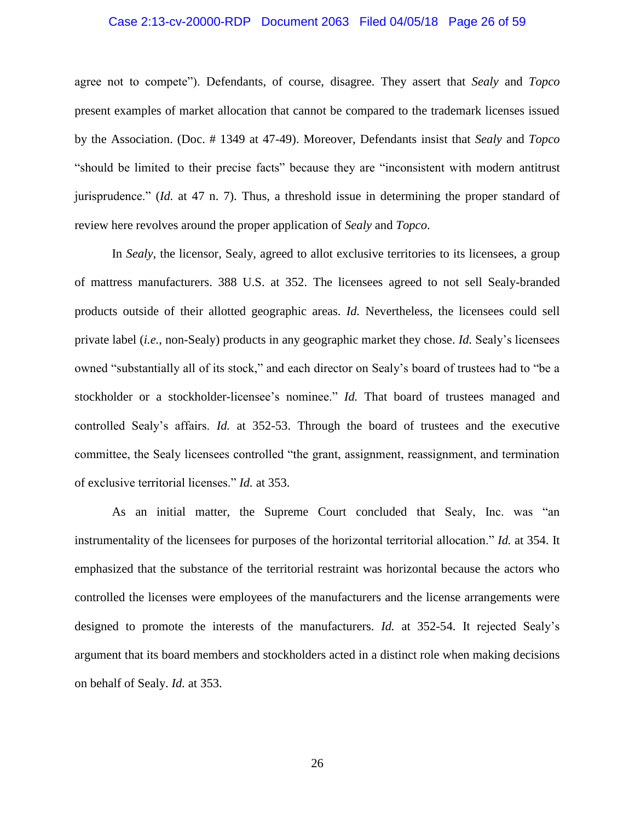### Case 2:13-cv-20000-RDP Document 2063 Filed 04/05/18 Page 26 of 59

agree not to compete"). Defendants, of course, disagree. They assert that *Sealy* and *Topco* present examples of market allocation that cannot be compared to the trademark licenses issued by the Association. (Doc. # 1349 at 47-49). Moreover, Defendants insist that *Sealy* and *Topco* "should be limited to their precise facts" because they are "inconsistent with modern antitrust jurisprudence." (*Id.* at 47 n. 7). Thus, a threshold issue in determining the proper standard of review here revolves around the proper application of *Sealy* and *Topco*.

In *Sealy*, the licensor, Sealy, agreed to allot exclusive territories to its licensees, a group of mattress manufacturers. 388 U.S. at 352. The licensees agreed to not sell Sealy-branded products outside of their allotted geographic areas. *Id.* Nevertheless, the licensees could sell private label (*i.e.*, non-Sealy) products in any geographic market they chose. *Id.* Sealy's licensees owned "substantially all of its stock," and each director on Sealy's board of trustees had to "be a stockholder or a stockholder-licensee's nominee." *Id.* That board of trustees managed and controlled Sealy's affairs. *Id.* at 352-53. Through the board of trustees and the executive committee, the Sealy licensees controlled "the grant, assignment, reassignment, and termination of exclusive territorial licenses." *Id.* at 353.

As an initial matter, the Supreme Court concluded that Sealy, Inc. was "an instrumentality of the licensees for purposes of the horizontal territorial allocation." *Id.* at 354. It emphasized that the substance of the territorial restraint was horizontal because the actors who controlled the licenses were employees of the manufacturers and the license arrangements were designed to promote the interests of the manufacturers. *Id.* at 352-54. It rejected Sealy's argument that its board members and stockholders acted in a distinct role when making decisions on behalf of Sealy. *Id.* at 353.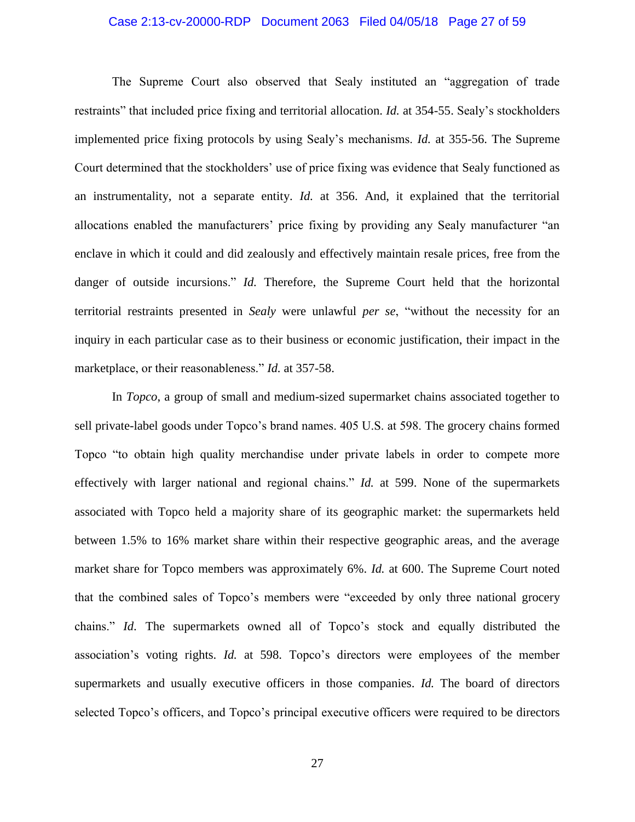### Case 2:13-cv-20000-RDP Document 2063 Filed 04/05/18 Page 27 of 59

The Supreme Court also observed that Sealy instituted an "aggregation of trade restraints" that included price fixing and territorial allocation. *Id.* at 354-55. Sealy's stockholders implemented price fixing protocols by using Sealy's mechanisms. *Id.* at 355-56. The Supreme Court determined that the stockholders' use of price fixing was evidence that Sealy functioned as an instrumentality, not a separate entity. *Id.* at 356. And, it explained that the territorial allocations enabled the manufacturers' price fixing by providing any Sealy manufacturer "an enclave in which it could and did zealously and effectively maintain resale prices, free from the danger of outside incursions." *Id.* Therefore, the Supreme Court held that the horizontal territorial restraints presented in *Sealy* were unlawful *per se*, "without the necessity for an inquiry in each particular case as to their business or economic justification, their impact in the marketplace, or their reasonableness." *Id.* at 357-58.

In *Topco*, a group of small and medium-sized supermarket chains associated together to sell private-label goods under Topco's brand names. 405 U.S. at 598. The grocery chains formed Topco "to obtain high quality merchandise under private labels in order to compete more effectively with larger national and regional chains." *Id.* at 599. None of the supermarkets associated with Topco held a majority share of its geographic market: the supermarkets held between 1.5% to 16% market share within their respective geographic areas, and the average market share for Topco members was approximately 6%. *Id.* at 600. The Supreme Court noted that the combined sales of Topco's members were "exceeded by only three national grocery chains." *Id*. The supermarkets owned all of Topco's stock and equally distributed the association's voting rights. *Id.* at 598. Topco's directors were employees of the member supermarkets and usually executive officers in those companies. *Id.* The board of directors selected Topco's officers, and Topco's principal executive officers were required to be directors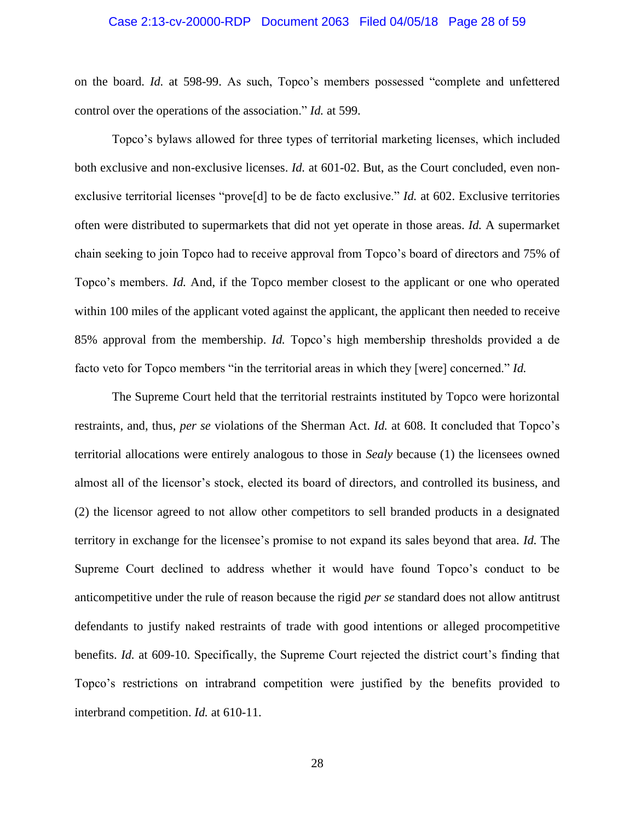### Case 2:13-cv-20000-RDP Document 2063 Filed 04/05/18 Page 28 of 59

on the board. *Id.* at 598-99. As such, Topco's members possessed "complete and unfettered control over the operations of the association." *Id.* at 599.

Topco's bylaws allowed for three types of territorial marketing licenses, which included both exclusive and non-exclusive licenses. *Id.* at 601-02. But, as the Court concluded, even nonexclusive territorial licenses "prove[d] to be de facto exclusive." *Id.* at 602. Exclusive territories often were distributed to supermarkets that did not yet operate in those areas. *Id.* A supermarket chain seeking to join Topco had to receive approval from Topco's board of directors and 75% of Topco's members. *Id.* And, if the Topco member closest to the applicant or one who operated within 100 miles of the applicant voted against the applicant, the applicant then needed to receive 85% approval from the membership. *Id.* Topco's high membership thresholds provided a de facto veto for Topco members "in the territorial areas in which they [were] concerned." *Id.*

The Supreme Court held that the territorial restraints instituted by Topco were horizontal restraints, and, thus, *per se* violations of the Sherman Act. *Id.* at 608. It concluded that Topco's territorial allocations were entirely analogous to those in *Sealy* because (1) the licensees owned almost all of the licensor's stock, elected its board of directors, and controlled its business, and (2) the licensor agreed to not allow other competitors to sell branded products in a designated territory in exchange for the licensee's promise to not expand its sales beyond that area. *Id.* The Supreme Court declined to address whether it would have found Topco's conduct to be anticompetitive under the rule of reason because the rigid *per se* standard does not allow antitrust defendants to justify naked restraints of trade with good intentions or alleged procompetitive benefits. *Id.* at 609-10. Specifically, the Supreme Court rejected the district court's finding that Topco's restrictions on intrabrand competition were justified by the benefits provided to interbrand competition. *Id.* at 610-11.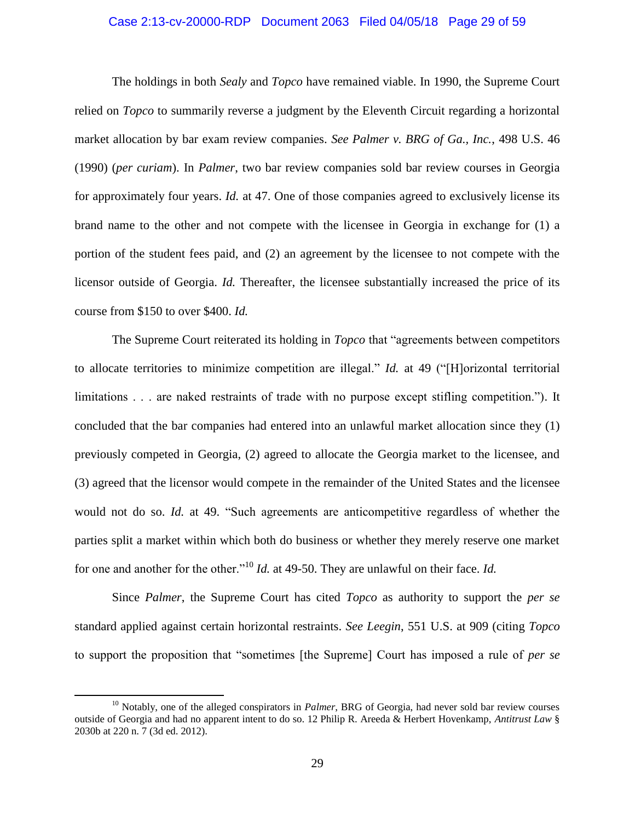### Case 2:13-cv-20000-RDP Document 2063 Filed 04/05/18 Page 29 of 59

The holdings in both *Sealy* and *Topco* have remained viable. In 1990, the Supreme Court relied on *Topco* to summarily reverse a judgment by the Eleventh Circuit regarding a horizontal market allocation by bar exam review companies. *See Palmer v. BRG of Ga., Inc.*, 498 U.S. 46 (1990) (*per curiam*). In *Palmer*, two bar review companies sold bar review courses in Georgia for approximately four years. *Id.* at 47. One of those companies agreed to exclusively license its brand name to the other and not compete with the licensee in Georgia in exchange for (1) a portion of the student fees paid, and (2) an agreement by the licensee to not compete with the licensor outside of Georgia. *Id.* Thereafter, the licensee substantially increased the price of its course from \$150 to over \$400. *Id.*

The Supreme Court reiterated its holding in *Topco* that "agreements between competitors to allocate territories to minimize competition are illegal." *Id.* at 49 ("[H]orizontal territorial limitations . . . are naked restraints of trade with no purpose except stifling competition."). It concluded that the bar companies had entered into an unlawful market allocation since they (1) previously competed in Georgia, (2) agreed to allocate the Georgia market to the licensee, and (3) agreed that the licensor would compete in the remainder of the United States and the licensee would not do so. *Id.* at 49. "Such agreements are anticompetitive regardless of whether the parties split a market within which both do business or whether they merely reserve one market for one and another for the other."<sup>10</sup> *Id.* at 49-50. They are unlawful on their face. *Id.*

Since *Palmer*, the Supreme Court has cited *Topco* as authority to support the *per se*  standard applied against certain horizontal restraints. *See Leegin*, 551 U.S. at 909 (citing *Topco* to support the proposition that "sometimes [the Supreme] Court has imposed a rule of *per se*

<sup>&</sup>lt;sup>10</sup> Notably, one of the alleged conspirators in *Palmer*, BRG of Georgia, had never sold bar review courses outside of Georgia and had no apparent intent to do so. 12 Philip R. Areeda & Herbert Hovenkamp, *Antitrust Law* § 2030b at 220 n. 7 (3d ed. 2012).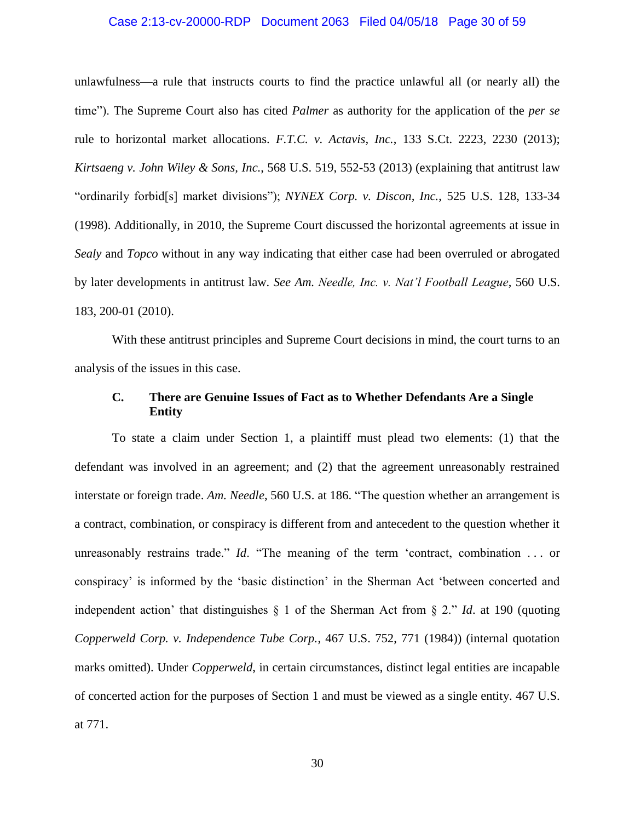### Case 2:13-cv-20000-RDP Document 2063 Filed 04/05/18 Page 30 of 59

unlawfulness—a rule that instructs courts to find the practice unlawful all (or nearly all) the time"). The Supreme Court also has cited *Palmer* as authority for the application of the *per se*  rule to horizontal market allocations. *F.T.C. v. Actavis, Inc.*, 133 S.Ct. 2223, 2230 (2013); *Kirtsaeng v. John Wiley & Sons, Inc.*, 568 U.S. 519, 552-53 (2013) (explaining that antitrust law "ordinarily forbid[s] market divisions"); *NYNEX Corp. v. Discon, Inc.*, 525 U.S. 128, 133-34 (1998). Additionally, in 2010, the Supreme Court discussed the horizontal agreements at issue in *Sealy* and *Topco* without in any way indicating that either case had been overruled or abrogated by later developments in antitrust law. *See Am. Needle, Inc. v. Nat'l Football League*, 560 U.S. 183, 200-01 (2010).

With these antitrust principles and Supreme Court decisions in mind, the court turns to an analysis of the issues in this case.

## **C. There are Genuine Issues of Fact as to Whether Defendants Are a Single Entity**

To state a claim under Section 1, a plaintiff must plead two elements: (1) that the defendant was involved in an agreement; and (2) that the agreement unreasonably restrained interstate or foreign trade. *Am. Needle*, 560 U.S. at 186. "The question whether an arrangement is a contract, combination, or conspiracy is different from and antecedent to the question whether it unreasonably restrains trade." *Id*. "The meaning of the term 'contract, combination . . . or conspiracy' is informed by the 'basic distinction' in the Sherman Act 'between concerted and independent action' that distinguishes § 1 of the Sherman Act from § 2." *Id*. at 190 (quoting *Copperweld Corp. v. Independence Tube Corp.*, 467 U.S. 752, 771 (1984)) (internal quotation marks omitted). Under *Copperweld*, in certain circumstances, distinct legal entities are incapable of concerted action for the purposes of Section 1 and must be viewed as a single entity. 467 U.S. at 771.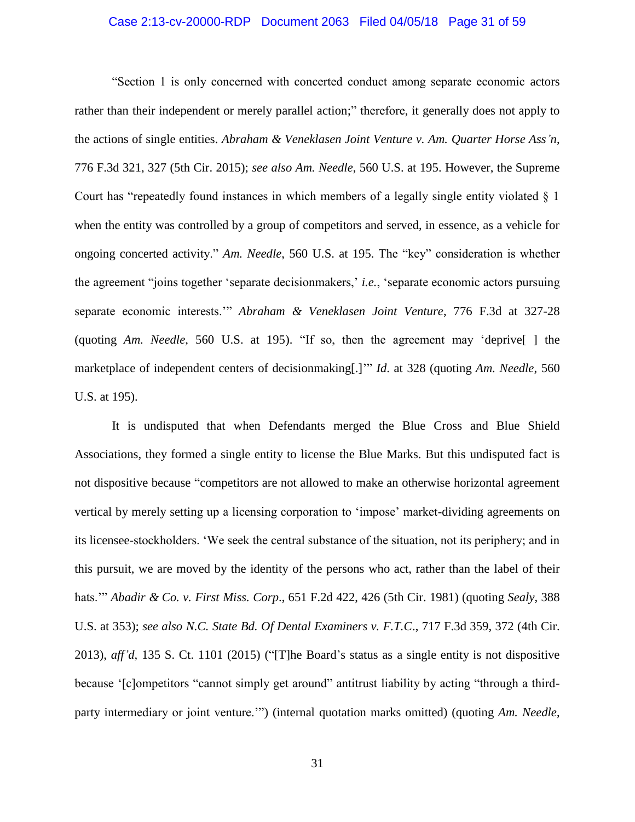### Case 2:13-cv-20000-RDP Document 2063 Filed 04/05/18 Page 31 of 59

"Section 1 is only concerned with concerted conduct among separate economic actors rather than their independent or merely parallel action;" therefore, it generally does not apply to the actions of single entities. *Abraham & Veneklasen Joint Venture v. Am. Quarter Horse Ass'n*, 776 F.3d 321, 327 (5th Cir. 2015); *see also Am. Needle*, 560 U.S. at 195. However, the Supreme Court has "repeatedly found instances in which members of a legally single entity violated § 1 when the entity was controlled by a group of competitors and served, in essence, as a vehicle for ongoing concerted activity." *Am. Needle*, 560 U.S. at 195. The "key" consideration is whether the agreement "joins together 'separate decisionmakers,' *i.e.*, 'separate economic actors pursuing separate economic interests.'" *Abraham & Veneklasen Joint Venture*, 776 F.3d at 327-28 (quoting *Am. Needle*, 560 U.S. at 195). "If so, then the agreement may 'deprive[ ] the marketplace of independent centers of decisionmaking[.]'" *Id*. at 328 (quoting *Am. Needle*, 560 U.S. at 195).

It is undisputed that when Defendants merged the Blue Cross and Blue Shield Associations, they formed a single entity to license the Blue Marks. But this undisputed fact is not dispositive because "competitors are not allowed to make an otherwise horizontal agreement vertical by merely setting up a licensing corporation to 'impose' market-dividing agreements on its licensee-stockholders. 'We seek the central substance of the situation, not its periphery; and in this pursuit, we are moved by the identity of the persons who act, rather than the label of their hats.'" *Abadir & Co. v. First Miss. Corp*., 651 F.2d 422, 426 (5th Cir. 1981) (quoting *Sealy*, 388 U.S. at 353); *see also N.C. State Bd. Of Dental Examiners v. F.T.C*., 717 F.3d 359, 372 (4th Cir. 2013), *aff'd*, 135 S. Ct. 1101 (2015) ("[T]he Board's status as a single entity is not dispositive because '[c]ompetitors "cannot simply get around" antitrust liability by acting "through a thirdparty intermediary or joint venture.'") (internal quotation marks omitted) (quoting *Am. Needle*,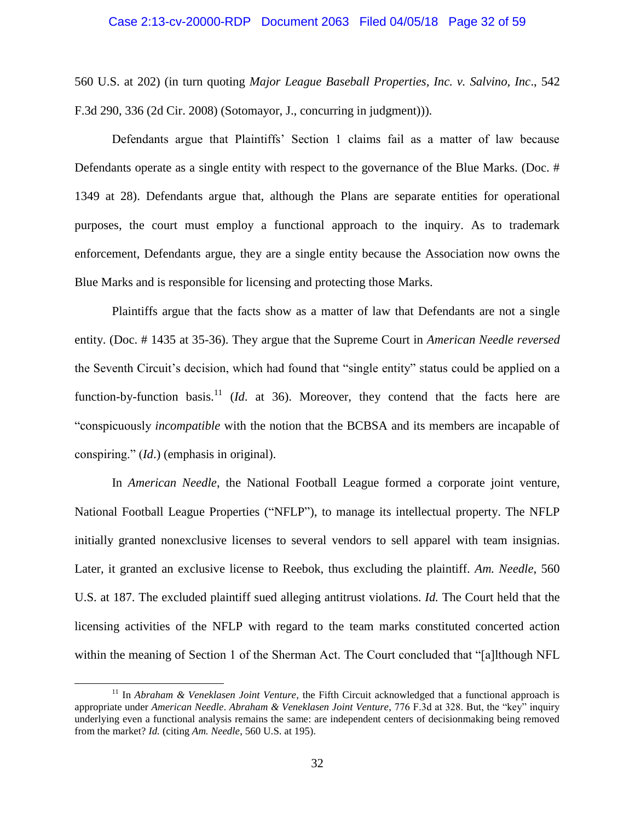### Case 2:13-cv-20000-RDP Document 2063 Filed 04/05/18 Page 32 of 59

560 U.S. at 202) (in turn quoting *Major League Baseball Properties, Inc. v. Salvino, Inc*., 542 F.3d 290, 336 (2d Cir. 2008) (Sotomayor, J., concurring in judgment))).

Defendants argue that Plaintiffs' Section 1 claims fail as a matter of law because Defendants operate as a single entity with respect to the governance of the Blue Marks. (Doc. # 1349 at 28). Defendants argue that, although the Plans are separate entities for operational purposes, the court must employ a functional approach to the inquiry. As to trademark enforcement, Defendants argue, they are a single entity because the Association now owns the Blue Marks and is responsible for licensing and protecting those Marks.

Plaintiffs argue that the facts show as a matter of law that Defendants are not a single entity. (Doc. # 1435 at 35-36). They argue that the Supreme Court in *American Needle reversed*  the Seventh Circuit's decision, which had found that "single entity" status could be applied on a function-by-function basis.<sup>11</sup> (*Id.* at 36). Moreover, they contend that the facts here are "conspicuously *incompatible* with the notion that the BCBSA and its members are incapable of conspiring." (*Id*.) (emphasis in original).

In *American Needle*, the National Football League formed a corporate joint venture, National Football League Properties ("NFLP"), to manage its intellectual property. The NFLP initially granted nonexclusive licenses to several vendors to sell apparel with team insignias. Later, it granted an exclusive license to Reebok, thus excluding the plaintiff. *Am. Needle*, 560 U.S. at 187. The excluded plaintiff sued alleging antitrust violations. *Id.* The Court held that the licensing activities of the NFLP with regard to the team marks constituted concerted action within the meaning of Section 1 of the Sherman Act. The Court concluded that "[a]lthough NFL

<sup>&</sup>lt;sup>11</sup> In *Abraham & Veneklasen Joint Venture*, the Fifth Circuit acknowledged that a functional approach is appropriate under *American Needle*. *Abraham & Veneklasen Joint Venture*, 776 F.3d at 328. But, the "key" inquiry underlying even a functional analysis remains the same: are independent centers of decisionmaking being removed from the market? *Id.* (citing *Am. Needle*, 560 U.S. at 195).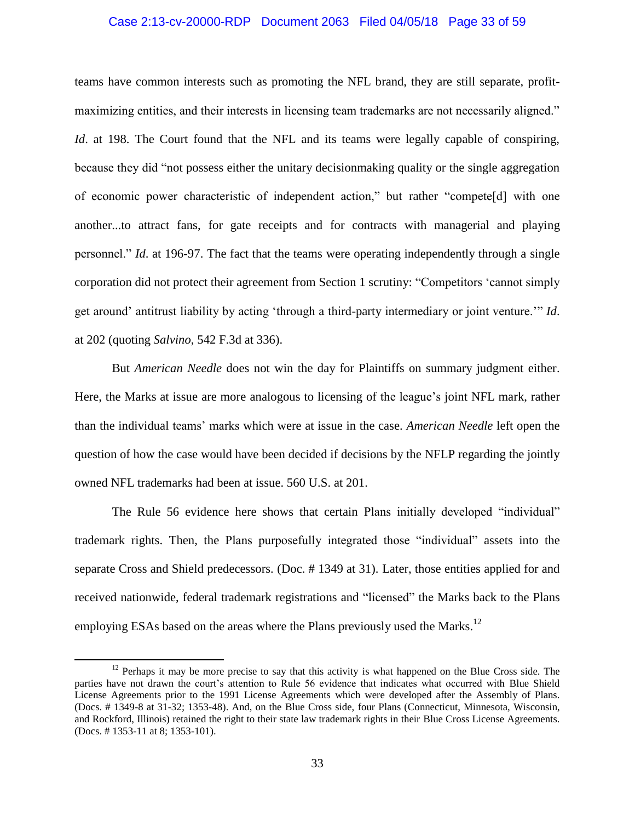### Case 2:13-cv-20000-RDP Document 2063 Filed 04/05/18 Page 33 of 59

teams have common interests such as promoting the NFL brand, they are still separate, profitmaximizing entities, and their interests in licensing team trademarks are not necessarily aligned." *Id.* at 198. The Court found that the NFL and its teams were legally capable of conspiring, because they did "not possess either the unitary decisionmaking quality or the single aggregation of economic power characteristic of independent action," but rather "compete[d] with one another...to attract fans, for gate receipts and for contracts with managerial and playing personnel." *Id*. at 196-97. The fact that the teams were operating independently through a single corporation did not protect their agreement from Section 1 scrutiny: "Competitors 'cannot simply get around' antitrust liability by acting 'through a third-party intermediary or joint venture.'" *Id*. at 202 (quoting *Salvino*, 542 F.3d at 336).

But *American Needle* does not win the day for Plaintiffs on summary judgment either. Here, the Marks at issue are more analogous to licensing of the league's joint NFL mark, rather than the individual teams' marks which were at issue in the case. *American Needle* left open the question of how the case would have been decided if decisions by the NFLP regarding the jointly owned NFL trademarks had been at issue. 560 U.S. at 201.

The Rule 56 evidence here shows that certain Plans initially developed "individual" trademark rights. Then, the Plans purposefully integrated those "individual" assets into the separate Cross and Shield predecessors. (Doc. # 1349 at 31). Later, those entities applied for and received nationwide, federal trademark registrations and "licensed" the Marks back to the Plans employing ESAs based on the areas where the Plans previously used the Marks.<sup>12</sup>

 $12$  Perhaps it may be more precise to say that this activity is what happened on the Blue Cross side. The parties have not drawn the court's attention to Rule 56 evidence that indicates what occurred with Blue Shield License Agreements prior to the 1991 License Agreements which were developed after the Assembly of Plans. (Docs. # 1349-8 at 31-32; 1353-48). And, on the Blue Cross side, four Plans (Connecticut, Minnesota, Wisconsin, and Rockford, Illinois) retained the right to their state law trademark rights in their Blue Cross License Agreements. (Docs. # 1353-11 at 8; 1353-101).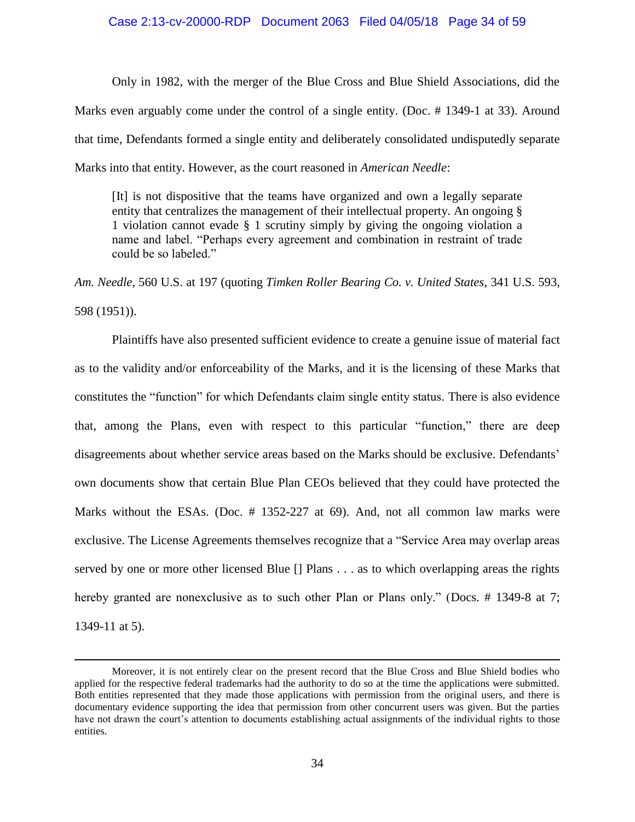#### Case 2:13-cv-20000-RDP Document 2063 Filed 04/05/18 Page 34 of 59

Only in 1982, with the merger of the Blue Cross and Blue Shield Associations, did the Marks even arguably come under the control of a single entity. (Doc. # 1349-1 at 33). Around that time, Defendants formed a single entity and deliberately consolidated undisputedly separate Marks into that entity. However, as the court reasoned in *American Needle*:

[It] is not dispositive that the teams have organized and own a legally separate entity that centralizes the management of their intellectual property. An ongoing § 1 violation cannot evade § 1 scrutiny simply by giving the ongoing violation a name and label. "Perhaps every agreement and combination in restraint of trade could be so labeled."

*Am. Needle*, 560 U.S. at 197 (quoting *Timken Roller Bearing Co. v. United States*, 341 U.S. 593, 598 (1951)).

Plaintiffs have also presented sufficient evidence to create a genuine issue of material fact as to the validity and/or enforceability of the Marks, and it is the licensing of these Marks that constitutes the "function" for which Defendants claim single entity status. There is also evidence that, among the Plans, even with respect to this particular "function," there are deep disagreements about whether service areas based on the Marks should be exclusive. Defendants' own documents show that certain Blue Plan CEOs believed that they could have protected the Marks without the ESAs. (Doc. # 1352-227 at 69). And, not all common law marks were exclusive. The License Agreements themselves recognize that a "Service Area may overlap areas served by one or more other licensed Blue [] Plans . . . as to which overlapping areas the rights hereby granted are nonexclusive as to such other Plan or Plans only." (Docs. #1349-8 at 7; 1349-11 at 5).

Moreover, it is not entirely clear on the present record that the Blue Cross and Blue Shield bodies who applied for the respective federal trademarks had the authority to do so at the time the applications were submitted. Both entities represented that they made those applications with permission from the original users, and there is documentary evidence supporting the idea that permission from other concurrent users was given. But the parties have not drawn the court's attention to documents establishing actual assignments of the individual rights to those entities.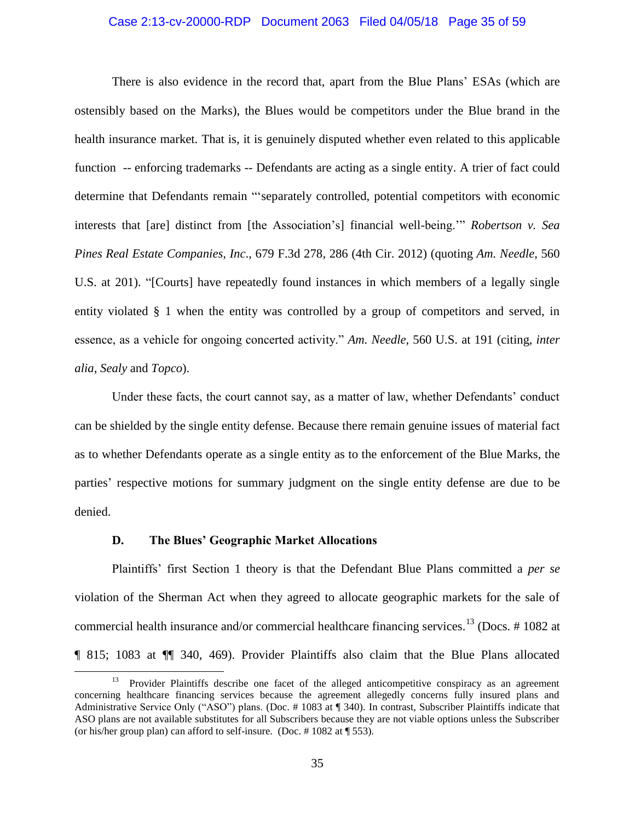### Case 2:13-cv-20000-RDP Document 2063 Filed 04/05/18 Page 35 of 59

There is also evidence in the record that, apart from the Blue Plans' ESAs (which are ostensibly based on the Marks), the Blues would be competitors under the Blue brand in the health insurance market. That is, it is genuinely disputed whether even related to this applicable function -- enforcing trademarks -- Defendants are acting as a single entity. A trier of fact could determine that Defendants remain "'separately controlled, potential competitors with economic interests that [are] distinct from [the Association's] financial well-being.'" *Robertson v. Sea Pines Real Estate Companies, Inc*., 679 F.3d 278, 286 (4th Cir. 2012) (quoting *Am. Needle*, 560 U.S. at 201). "[Courts] have repeatedly found instances in which members of a legally single entity violated § 1 when the entity was controlled by a group of competitors and served, in essence, as a vehicle for ongoing concerted activity." *Am. Needle*, 560 U.S. at 191 (citing, *inter alia*, *Sealy* and *Topco*).

Under these facts, the court cannot say, as a matter of law, whether Defendants' conduct can be shielded by the single entity defense. Because there remain genuine issues of material fact as to whether Defendants operate as a single entity as to the enforcement of the Blue Marks, the parties' respective motions for summary judgment on the single entity defense are due to be denied.

### **D. The Blues' Geographic Market Allocations**

 $\overline{\phantom{a}}$ 

Plaintiffs' first Section 1 theory is that the Defendant Blue Plans committed a *per se*  violation of the Sherman Act when they agreed to allocate geographic markets for the sale of commercial health insurance and/or commercial healthcare financing services.<sup>13</sup> (Docs.  $\#$  1082 at ¶ 815; 1083 at ¶¶ 340, 469). Provider Plaintiffs also claim that the Blue Plans allocated

<sup>13</sup> Provider Plaintiffs describe one facet of the alleged anticompetitive conspiracy as an agreement concerning healthcare financing services because the agreement allegedly concerns fully insured plans and Administrative Service Only ("ASO") plans. (Doc. # 1083 at ¶ 340). In contrast, Subscriber Plaintiffs indicate that ASO plans are not available substitutes for all Subscribers because they are not viable options unless the Subscriber (or his/her group plan) can afford to self-insure. (Doc. # 1082 at ¶ 553).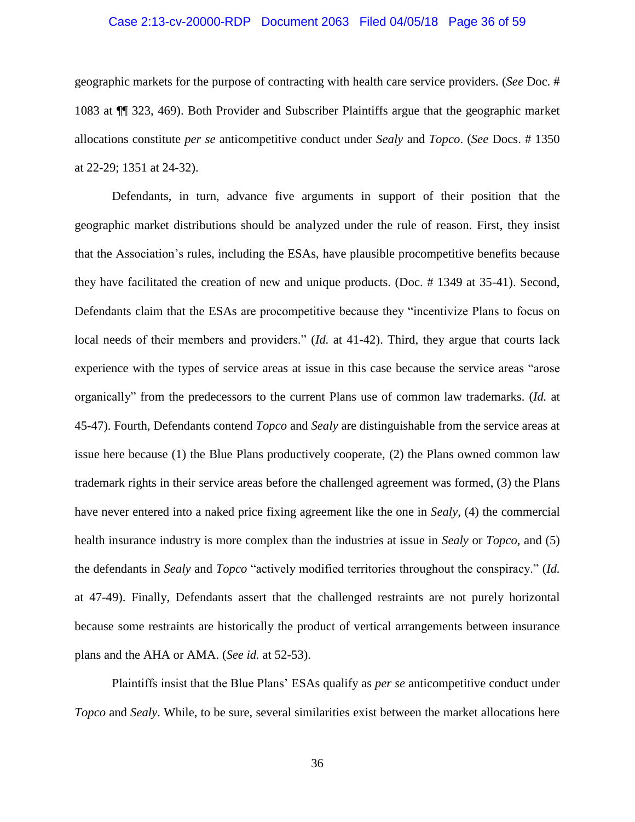### Case 2:13-cv-20000-RDP Document 2063 Filed 04/05/18 Page 36 of 59

geographic markets for the purpose of contracting with health care service providers. (*See* Doc. # 1083 at ¶¶ 323, 469). Both Provider and Subscriber Plaintiffs argue that the geographic market allocations constitute *per se* anticompetitive conduct under *Sealy* and *Topco*. (*See* Docs. # 1350 at 22-29; 1351 at 24-32).

Defendants, in turn, advance five arguments in support of their position that the geographic market distributions should be analyzed under the rule of reason. First, they insist that the Association's rules, including the ESAs, have plausible procompetitive benefits because they have facilitated the creation of new and unique products. (Doc. # 1349 at 35-41). Second, Defendants claim that the ESAs are procompetitive because they "incentivize Plans to focus on local needs of their members and providers." (*Id.* at 41-42). Third, they argue that courts lack experience with the types of service areas at issue in this case because the service areas "arose organically" from the predecessors to the current Plans use of common law trademarks. (*Id.* at 45-47). Fourth, Defendants contend *Topco* and *Sealy* are distinguishable from the service areas at issue here because (1) the Blue Plans productively cooperate, (2) the Plans owned common law trademark rights in their service areas before the challenged agreement was formed, (3) the Plans have never entered into a naked price fixing agreement like the one in *Sealy*, (4) the commercial health insurance industry is more complex than the industries at issue in *Sealy* or *Topco*, and (5) the defendants in *Sealy* and *Topco* "actively modified territories throughout the conspiracy." (*Id.* at 47-49). Finally, Defendants assert that the challenged restraints are not purely horizontal because some restraints are historically the product of vertical arrangements between insurance plans and the AHA or AMA. (*See id.* at 52-53).

Plaintiffs insist that the Blue Plans' ESAs qualify as *per se* anticompetitive conduct under *Topco* and *Sealy*. While, to be sure, several similarities exist between the market allocations here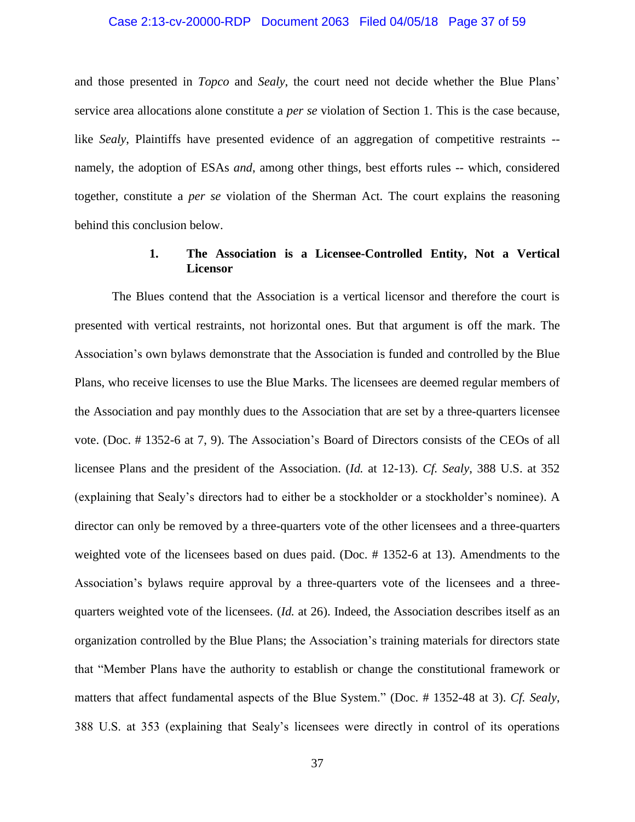### Case 2:13-cv-20000-RDP Document 2063 Filed 04/05/18 Page 37 of 59

and those presented in *Topco* and *Sealy*, the court need not decide whether the Blue Plans' service area allocations alone constitute a *per se* violation of Section 1. This is the case because, like *Sealy*, Plaintiffs have presented evidence of an aggregation of competitive restraints -namely, the adoption of ESAs *and*, among other things, best efforts rules -- which, considered together, constitute a *per se* violation of the Sherman Act. The court explains the reasoning behind this conclusion below.

## **1. The Association is a Licensee-Controlled Entity, Not a Vertical Licensor**

The Blues contend that the Association is a vertical licensor and therefore the court is presented with vertical restraints, not horizontal ones. But that argument is off the mark. The Association's own bylaws demonstrate that the Association is funded and controlled by the Blue Plans, who receive licenses to use the Blue Marks. The licensees are deemed regular members of the Association and pay monthly dues to the Association that are set by a three-quarters licensee vote. (Doc. # 1352-6 at 7, 9). The Association's Board of Directors consists of the CEOs of all licensee Plans and the president of the Association. (*Id.* at 12-13). *Cf. Sealy*, 388 U.S. at 352 (explaining that Sealy's directors had to either be a stockholder or a stockholder's nominee). A director can only be removed by a three-quarters vote of the other licensees and a three-quarters weighted vote of the licensees based on dues paid. (Doc. # 1352-6 at 13). Amendments to the Association's bylaws require approval by a three-quarters vote of the licensees and a threequarters weighted vote of the licensees. (*Id.* at 26). Indeed, the Association describes itself as an organization controlled by the Blue Plans; the Association's training materials for directors state that "Member Plans have the authority to establish or change the constitutional framework or matters that affect fundamental aspects of the Blue System." (Doc. # 1352-48 at 3). *Cf. Sealy*, 388 U.S. at 353 (explaining that Sealy's licensees were directly in control of its operations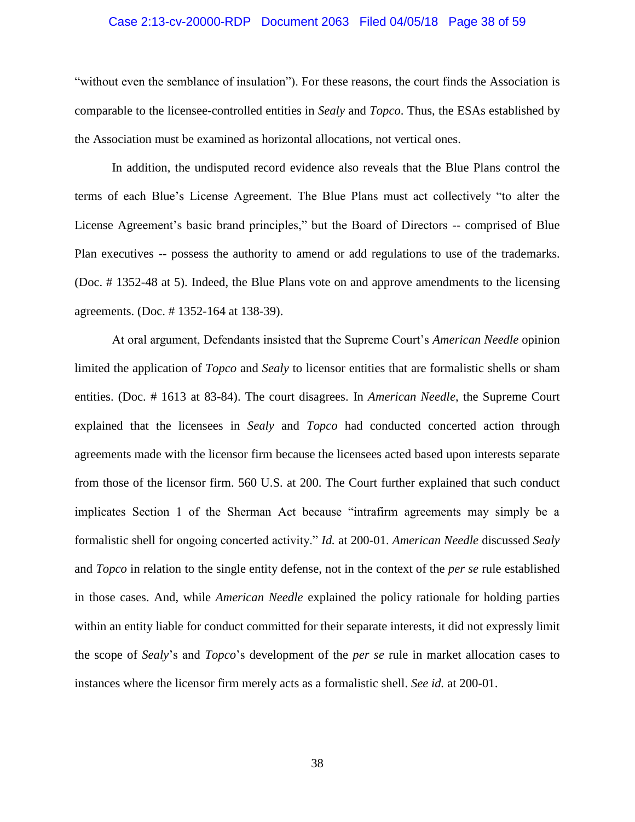### Case 2:13-cv-20000-RDP Document 2063 Filed 04/05/18 Page 38 of 59

"without even the semblance of insulation"). For these reasons, the court finds the Association is comparable to the licensee-controlled entities in *Sealy* and *Topco*. Thus, the ESAs established by the Association must be examined as horizontal allocations, not vertical ones.

In addition, the undisputed record evidence also reveals that the Blue Plans control the terms of each Blue's License Agreement. The Blue Plans must act collectively "to alter the License Agreement's basic brand principles," but the Board of Directors -- comprised of Blue Plan executives -- possess the authority to amend or add regulations to use of the trademarks. (Doc. # 1352-48 at 5). Indeed, the Blue Plans vote on and approve amendments to the licensing agreements. (Doc. # 1352-164 at 138-39).

At oral argument, Defendants insisted that the Supreme Court's *American Needle* opinion limited the application of *Topco* and *Sealy* to licensor entities that are formalistic shells or sham entities. (Doc. # 1613 at 83-84). The court disagrees. In *American Needle*, the Supreme Court explained that the licensees in *Sealy* and *Topco* had conducted concerted action through agreements made with the licensor firm because the licensees acted based upon interests separate from those of the licensor firm. 560 U.S. at 200. The Court further explained that such conduct implicates Section 1 of the Sherman Act because "intrafirm agreements may simply be a formalistic shell for ongoing concerted activity." *Id.* at 200-01. *American Needle* discussed *Sealy* and *Topco* in relation to the single entity defense, not in the context of the *per se* rule established in those cases. And, while *American Needle* explained the policy rationale for holding parties within an entity liable for conduct committed for their separate interests, it did not expressly limit the scope of *Sealy*'s and *Topco*'s development of the *per se* rule in market allocation cases to instances where the licensor firm merely acts as a formalistic shell. *See id.* at 200-01.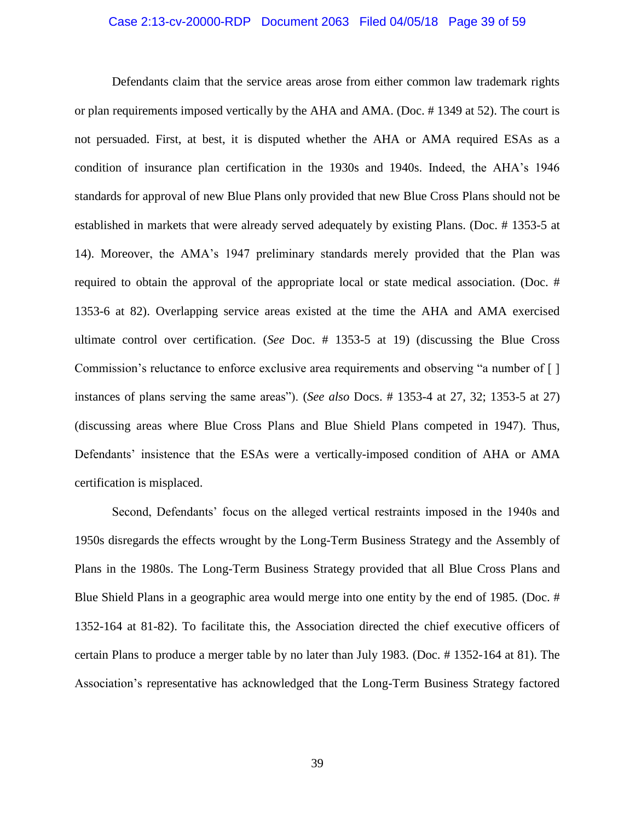### Case 2:13-cv-20000-RDP Document 2063 Filed 04/05/18 Page 39 of 59

Defendants claim that the service areas arose from either common law trademark rights or plan requirements imposed vertically by the AHA and AMA. (Doc. # 1349 at 52). The court is not persuaded. First, at best, it is disputed whether the AHA or AMA required ESAs as a condition of insurance plan certification in the 1930s and 1940s. Indeed, the AHA's 1946 standards for approval of new Blue Plans only provided that new Blue Cross Plans should not be established in markets that were already served adequately by existing Plans. (Doc. # 1353-5 at 14). Moreover, the AMA's 1947 preliminary standards merely provided that the Plan was required to obtain the approval of the appropriate local or state medical association. (Doc. # 1353-6 at 82). Overlapping service areas existed at the time the AHA and AMA exercised ultimate control over certification. (*See* Doc. # 1353-5 at 19) (discussing the Blue Cross Commission's reluctance to enforce exclusive area requirements and observing "a number of [ ] instances of plans serving the same areas"). (*See also* Docs. # 1353-4 at 27, 32; 1353-5 at 27) (discussing areas where Blue Cross Plans and Blue Shield Plans competed in 1947). Thus, Defendants' insistence that the ESAs were a vertically-imposed condition of AHA or AMA certification is misplaced.

Second, Defendants' focus on the alleged vertical restraints imposed in the 1940s and 1950s disregards the effects wrought by the Long-Term Business Strategy and the Assembly of Plans in the 1980s. The Long-Term Business Strategy provided that all Blue Cross Plans and Blue Shield Plans in a geographic area would merge into one entity by the end of 1985. (Doc. # 1352-164 at 81-82). To facilitate this, the Association directed the chief executive officers of certain Plans to produce a merger table by no later than July 1983. (Doc. # 1352-164 at 81). The Association's representative has acknowledged that the Long-Term Business Strategy factored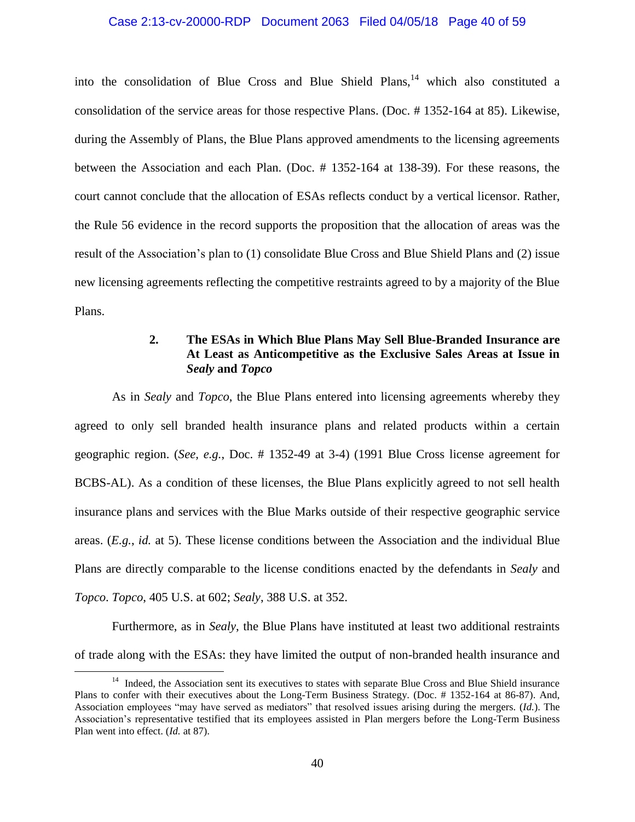## Case 2:13-cv-20000-RDP Document 2063 Filed 04/05/18 Page 40 of 59

into the consolidation of Blue Cross and Blue Shield Plans,  $14$  which also constituted a consolidation of the service areas for those respective Plans. (Doc. # 1352-164 at 85). Likewise, during the Assembly of Plans, the Blue Plans approved amendments to the licensing agreements between the Association and each Plan. (Doc. # 1352-164 at 138-39). For these reasons, the court cannot conclude that the allocation of ESAs reflects conduct by a vertical licensor. Rather, the Rule 56 evidence in the record supports the proposition that the allocation of areas was the result of the Association's plan to (1) consolidate Blue Cross and Blue Shield Plans and (2) issue new licensing agreements reflecting the competitive restraints agreed to by a majority of the Blue Plans.

## **2. The ESAs in Which Blue Plans May Sell Blue-Branded Insurance are At Least as Anticompetitive as the Exclusive Sales Areas at Issue in**  *Sealy* **and** *Topco*

As in *Sealy* and *Topco*, the Blue Plans entered into licensing agreements whereby they agreed to only sell branded health insurance plans and related products within a certain geographic region. (*See, e.g.*, Doc. # 1352-49 at 3-4) (1991 Blue Cross license agreement for BCBS-AL). As a condition of these licenses, the Blue Plans explicitly agreed to not sell health insurance plans and services with the Blue Marks outside of their respective geographic service areas. (*E.g.*, *id.* at 5). These license conditions between the Association and the individual Blue Plans are directly comparable to the license conditions enacted by the defendants in *Sealy* and *Topco*. *Topco*, 405 U.S. at 602; *Sealy*, 388 U.S. at 352.

Furthermore, as in *Sealy*, the Blue Plans have instituted at least two additional restraints of trade along with the ESAs: they have limited the output of non-branded health insurance and

<sup>&</sup>lt;sup>14</sup> Indeed, the Association sent its executives to states with separate Blue Cross and Blue Shield insurance Plans to confer with their executives about the Long-Term Business Strategy. (Doc. # 1352-164 at 86-87). And, Association employees "may have served as mediators" that resolved issues arising during the mergers. (*Id.*). The Association's representative testified that its employees assisted in Plan mergers before the Long-Term Business Plan went into effect. (*Id.* at 87).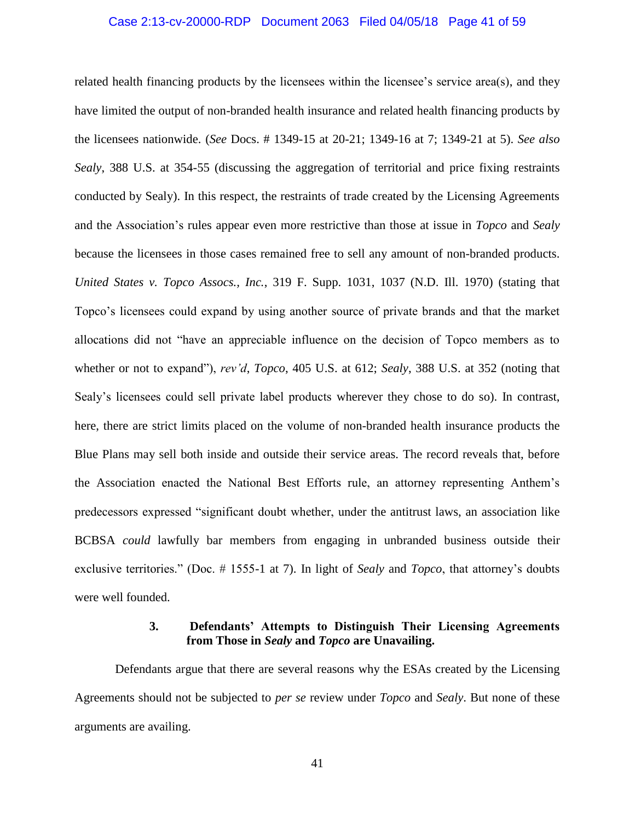### Case 2:13-cv-20000-RDP Document 2063 Filed 04/05/18 Page 41 of 59

related health financing products by the licensees within the licensee's service area(s), and they have limited the output of non-branded health insurance and related health financing products by the licensees nationwide. (*See* Docs. # 1349-15 at 20-21; 1349-16 at 7; 1349-21 at 5). *See also Sealy*, 388 U.S. at 354-55 (discussing the aggregation of territorial and price fixing restraints conducted by Sealy). In this respect, the restraints of trade created by the Licensing Agreements and the Association's rules appear even more restrictive than those at issue in *Topco* and *Sealy* because the licensees in those cases remained free to sell any amount of non-branded products. *United States v. Topco Assocs., Inc.*, 319 F. Supp. 1031, 1037 (N.D. Ill. 1970) (stating that Topco's licensees could expand by using another source of private brands and that the market allocations did not "have an appreciable influence on the decision of Topco members as to whether or not to expand"), *rev'd*, *Topco*, 405 U.S. at 612; *Sealy*, 388 U.S. at 352 (noting that Sealy's licensees could sell private label products wherever they chose to do so). In contrast, here, there are strict limits placed on the volume of non-branded health insurance products the Blue Plans may sell both inside and outside their service areas. The record reveals that, before the Association enacted the National Best Efforts rule, an attorney representing Anthem's predecessors expressed "significant doubt whether, under the antitrust laws, an association like BCBSA *could* lawfully bar members from engaging in unbranded business outside their exclusive territories." (Doc. # 1555-1 at 7). In light of *Sealy* and *Topco*, that attorney's doubts were well founded.

## **3. Defendants' Attempts to Distinguish Their Licensing Agreements from Those in** *Sealy* **and** *Topco* **are Unavailing.**

Defendants argue that there are several reasons why the ESAs created by the Licensing Agreements should not be subjected to *per se* review under *Topco* and *Sealy*. But none of these arguments are availing.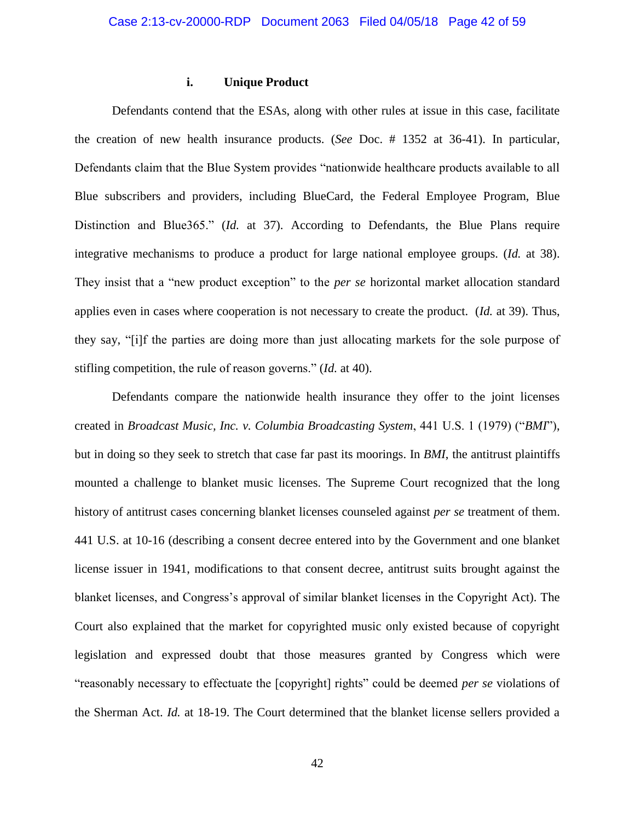## **i. Unique Product**

Defendants contend that the ESAs, along with other rules at issue in this case, facilitate the creation of new health insurance products. (*See* Doc. # 1352 at 36-41). In particular, Defendants claim that the Blue System provides "nationwide healthcare products available to all Blue subscribers and providers, including BlueCard, the Federal Employee Program, Blue Distinction and Blue365." (*Id.* at 37). According to Defendants, the Blue Plans require integrative mechanisms to produce a product for large national employee groups. (*Id.* at 38). They insist that a "new product exception" to the *per se* horizontal market allocation standard applies even in cases where cooperation is not necessary to create the product. (*Id.* at 39). Thus, they say, "[i]f the parties are doing more than just allocating markets for the sole purpose of stifling competition, the rule of reason governs." (*Id.* at 40).

Defendants compare the nationwide health insurance they offer to the joint licenses created in *Broadcast Music, Inc. v. Columbia Broadcasting System*, 441 U.S. 1 (1979) ("*BMI*"), but in doing so they seek to stretch that case far past its moorings. In *BMI*, the antitrust plaintiffs mounted a challenge to blanket music licenses. The Supreme Court recognized that the long history of antitrust cases concerning blanket licenses counseled against *per se* treatment of them. 441 U.S. at 10-16 (describing a consent decree entered into by the Government and one blanket license issuer in 1941, modifications to that consent decree, antitrust suits brought against the blanket licenses, and Congress's approval of similar blanket licenses in the Copyright Act). The Court also explained that the market for copyrighted music only existed because of copyright legislation and expressed doubt that those measures granted by Congress which were "reasonably necessary to effectuate the [copyright] rights" could be deemed *per se* violations of the Sherman Act. *Id.* at 18-19. The Court determined that the blanket license sellers provided a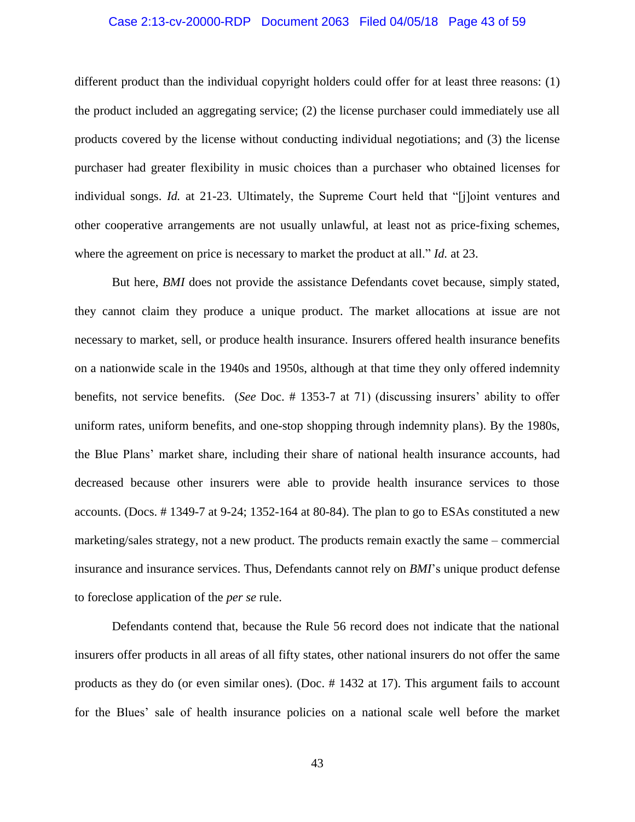### Case 2:13-cv-20000-RDP Document 2063 Filed 04/05/18 Page 43 of 59

different product than the individual copyright holders could offer for at least three reasons: (1) the product included an aggregating service; (2) the license purchaser could immediately use all products covered by the license without conducting individual negotiations; and (3) the license purchaser had greater flexibility in music choices than a purchaser who obtained licenses for individual songs. *Id.* at 21-23. Ultimately, the Supreme Court held that "[j]oint ventures and other cooperative arrangements are not usually unlawful, at least not as price-fixing schemes, where the agreement on price is necessary to market the product at all." *Id.* at 23.

But here, *BMI* does not provide the assistance Defendants covet because, simply stated, they cannot claim they produce a unique product. The market allocations at issue are not necessary to market, sell, or produce health insurance. Insurers offered health insurance benefits on a nationwide scale in the 1940s and 1950s, although at that time they only offered indemnity benefits, not service benefits. (*See* Doc. # 1353-7 at 71) (discussing insurers' ability to offer uniform rates, uniform benefits, and one-stop shopping through indemnity plans). By the 1980s, the Blue Plans' market share, including their share of national health insurance accounts, had decreased because other insurers were able to provide health insurance services to those accounts. (Docs. # 1349-7 at 9-24; 1352-164 at 80-84). The plan to go to ESAs constituted a new marketing/sales strategy, not a new product. The products remain exactly the same – commercial insurance and insurance services. Thus, Defendants cannot rely on *BMI*'s unique product defense to foreclose application of the *per se* rule.

Defendants contend that, because the Rule 56 record does not indicate that the national insurers offer products in all areas of all fifty states, other national insurers do not offer the same products as they do (or even similar ones). (Doc. # 1432 at 17). This argument fails to account for the Blues' sale of health insurance policies on a national scale well before the market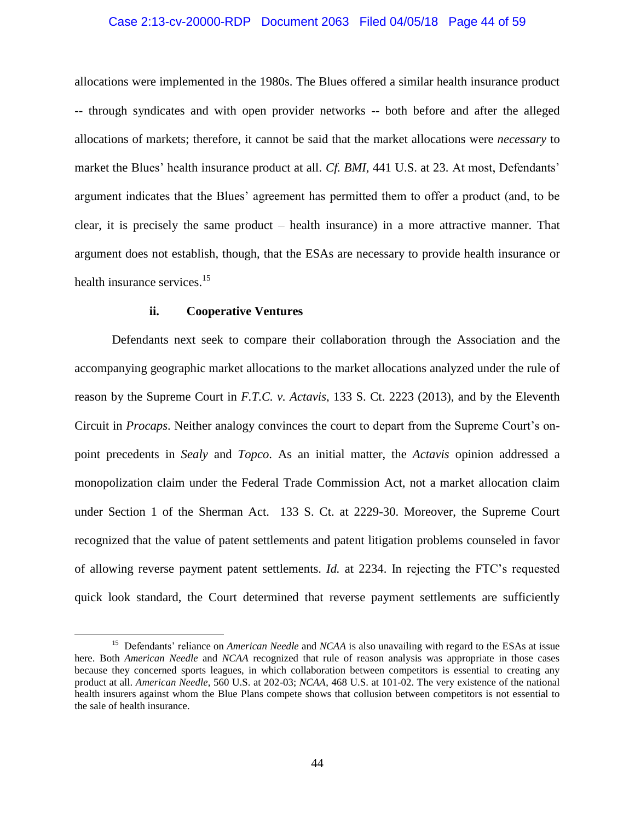#### Case 2:13-cv-20000-RDP Document 2063 Filed 04/05/18 Page 44 of 59

allocations were implemented in the 1980s. The Blues offered a similar health insurance product -- through syndicates and with open provider networks -- both before and after the alleged allocations of markets; therefore, it cannot be said that the market allocations were *necessary* to market the Blues' health insurance product at all. *Cf. BMI*, 441 U.S. at 23. At most, Defendants' argument indicates that the Blues' agreement has permitted them to offer a product (and, to be clear, it is precisely the same product – health insurance) in a more attractive manner. That argument does not establish, though, that the ESAs are necessary to provide health insurance or health insurance services.<sup>15</sup>

### **ii. Cooperative Ventures**

 $\overline{\phantom{a}}$ 

Defendants next seek to compare their collaboration through the Association and the accompanying geographic market allocations to the market allocations analyzed under the rule of reason by the Supreme Court in *F.T.C. v. Actavis*, 133 S. Ct. 2223 (2013), and by the Eleventh Circuit in *Procaps*. Neither analogy convinces the court to depart from the Supreme Court's onpoint precedents in *Sealy* and *Topco*. As an initial matter, the *Actavis* opinion addressed a monopolization claim under the Federal Trade Commission Act, not a market allocation claim under Section 1 of the Sherman Act. 133 S. Ct. at 2229-30. Moreover, the Supreme Court recognized that the value of patent settlements and patent litigation problems counseled in favor of allowing reverse payment patent settlements. *Id.* at 2234. In rejecting the FTC's requested quick look standard, the Court determined that reverse payment settlements are sufficiently

<sup>&</sup>lt;sup>15</sup> Defendants' reliance on *American Needle* and *NCAA* is also unavailing with regard to the ESAs at issue here. Both *American Needle* and *NCAA* recognized that rule of reason analysis was appropriate in those cases because they concerned sports leagues, in which collaboration between competitors is essential to creating any product at all. *American Needle*, 560 U.S. at 202-03; *NCAA*, 468 U.S. at 101-02. The very existence of the national health insurers against whom the Blue Plans compete shows that collusion between competitors is not essential to the sale of health insurance.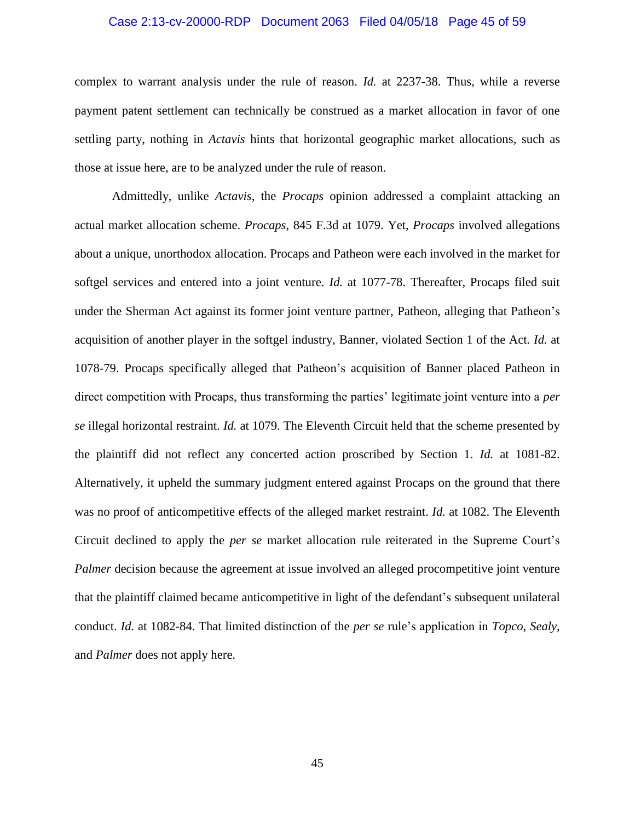### Case 2:13-cv-20000-RDP Document 2063 Filed 04/05/18 Page 45 of 59

complex to warrant analysis under the rule of reason. *Id.* at 2237-38. Thus, while a reverse payment patent settlement can technically be construed as a market allocation in favor of one settling party, nothing in *Actavis* hints that horizontal geographic market allocations, such as those at issue here, are to be analyzed under the rule of reason.

Admittedly, unlike *Actavis*, the *Procaps* opinion addressed a complaint attacking an actual market allocation scheme. *Procaps*, 845 F.3d at 1079. Yet, *Procaps* involved allegations about a unique, unorthodox allocation. Procaps and Patheon were each involved in the market for softgel services and entered into a joint venture. *Id.* at 1077-78. Thereafter, Procaps filed suit under the Sherman Act against its former joint venture partner, Patheon, alleging that Patheon's acquisition of another player in the softgel industry, Banner, violated Section 1 of the Act. *Id.* at 1078-79. Procaps specifically alleged that Patheon's acquisition of Banner placed Patheon in direct competition with Procaps, thus transforming the parties' legitimate joint venture into a *per se* illegal horizontal restraint. *Id.* at 1079. The Eleventh Circuit held that the scheme presented by the plaintiff did not reflect any concerted action proscribed by Section 1. *Id.* at 1081-82. Alternatively, it upheld the summary judgment entered against Procaps on the ground that there was no proof of anticompetitive effects of the alleged market restraint. *Id.* at 1082. The Eleventh Circuit declined to apply the *per se* market allocation rule reiterated in the Supreme Court's *Palmer* decision because the agreement at issue involved an alleged procompetitive joint venture that the plaintiff claimed became anticompetitive in light of the defendant's subsequent unilateral conduct. *Id.* at 1082-84. That limited distinction of the *per se* rule's application in *Topco*, *Sealy*, and *Palmer* does not apply here.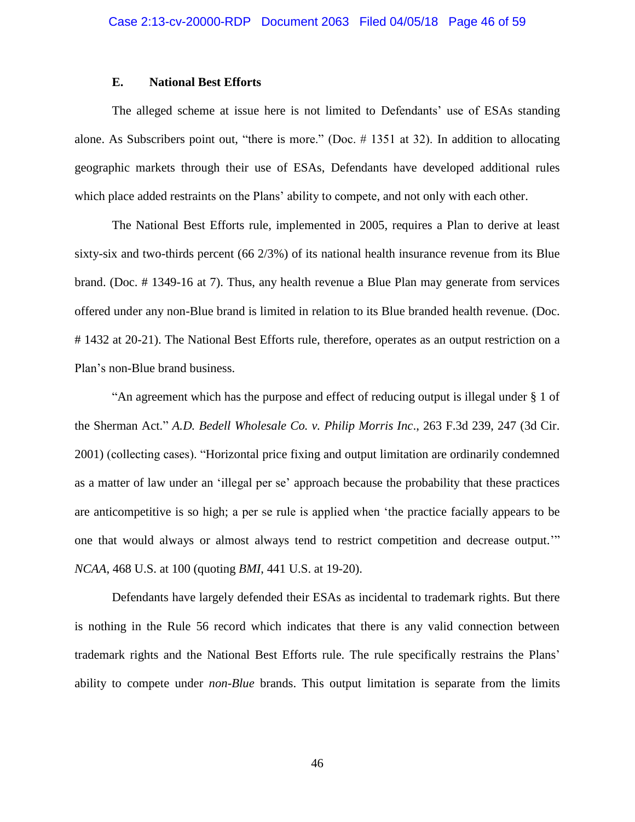## **E. National Best Efforts**

The alleged scheme at issue here is not limited to Defendants' use of ESAs standing alone. As Subscribers point out, "there is more." (Doc. # 1351 at 32). In addition to allocating geographic markets through their use of ESAs, Defendants have developed additional rules which place added restraints on the Plans' ability to compete, and not only with each other.

The National Best Efforts rule, implemented in 2005, requires a Plan to derive at least sixty-six and two-thirds percent (66 2/3%) of its national health insurance revenue from its Blue brand. (Doc. # 1349-16 at 7). Thus, any health revenue a Blue Plan may generate from services offered under any non-Blue brand is limited in relation to its Blue branded health revenue. (Doc. # 1432 at 20-21). The National Best Efforts rule, therefore, operates as an output restriction on a Plan's non-Blue brand business.

"An agreement which has the purpose and effect of reducing output is illegal under § 1 of the Sherman Act." *A.D. Bedell Wholesale Co. v. Philip Morris Inc*., 263 F.3d 239, 247 (3d Cir. 2001) (collecting cases). "Horizontal price fixing and output limitation are ordinarily condemned as a matter of law under an 'illegal per se' approach because the probability that these practices are anticompetitive is so high; a per se rule is applied when 'the practice facially appears to be one that would always or almost always tend to restrict competition and decrease output.'" *NCAA*, 468 U.S. at 100 (quoting *BMI*, 441 U.S. at 19-20).

Defendants have largely defended their ESAs as incidental to trademark rights. But there is nothing in the Rule 56 record which indicates that there is any valid connection between trademark rights and the National Best Efforts rule. The rule specifically restrains the Plans' ability to compete under *non-Blue* brands. This output limitation is separate from the limits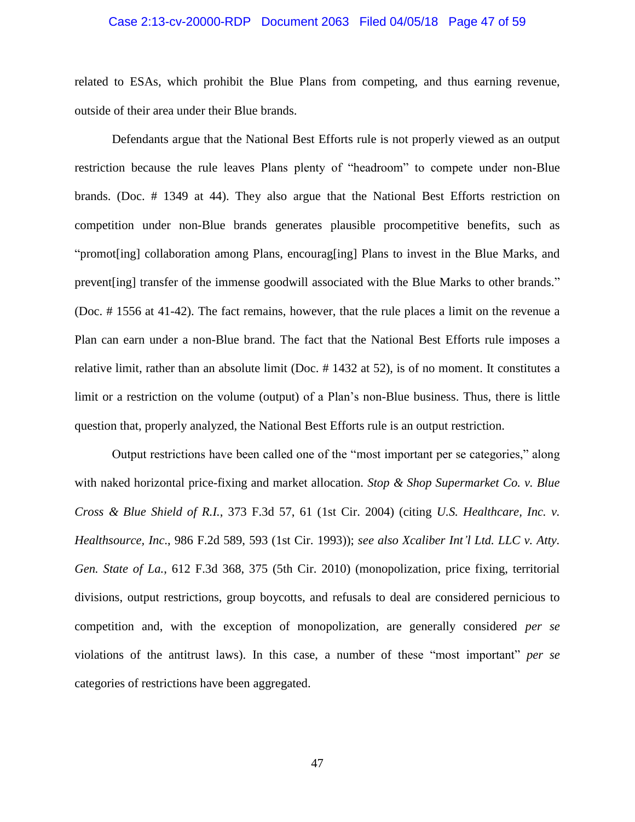### Case 2:13-cv-20000-RDP Document 2063 Filed 04/05/18 Page 47 of 59

related to ESAs, which prohibit the Blue Plans from competing, and thus earning revenue, outside of their area under their Blue brands.

Defendants argue that the National Best Efforts rule is not properly viewed as an output restriction because the rule leaves Plans plenty of "headroom" to compete under non-Blue brands. (Doc. # 1349 at 44). They also argue that the National Best Efforts restriction on competition under non-Blue brands generates plausible procompetitive benefits, such as "promot[ing] collaboration among Plans, encourag[ing] Plans to invest in the Blue Marks, and prevent[ing] transfer of the immense goodwill associated with the Blue Marks to other brands." (Doc. # 1556 at 41-42). The fact remains, however, that the rule places a limit on the revenue a Plan can earn under a non-Blue brand. The fact that the National Best Efforts rule imposes a relative limit, rather than an absolute limit (Doc. # 1432 at 52), is of no moment. It constitutes a limit or a restriction on the volume (output) of a Plan's non-Blue business. Thus, there is little question that, properly analyzed, the National Best Efforts rule is an output restriction.

Output restrictions have been called one of the "most important per se categories," along with naked horizontal price-fixing and market allocation. *Stop & Shop Supermarket Co. v. Blue Cross & Blue Shield of R.I.*, 373 F.3d 57, 61 (1st Cir. 2004) (citing *U.S. Healthcare, Inc. v. Healthsource, Inc*., 986 F.2d 589, 593 (1st Cir. 1993)); *see also Xcaliber Int'l Ltd. LLC v. Atty. Gen. State of La.*, 612 F.3d 368, 375 (5th Cir. 2010) (monopolization, price fixing, territorial divisions, output restrictions, group boycotts, and refusals to deal are considered pernicious to competition and, with the exception of monopolization, are generally considered *per se* violations of the antitrust laws). In this case, a number of these "most important" *per se* categories of restrictions have been aggregated.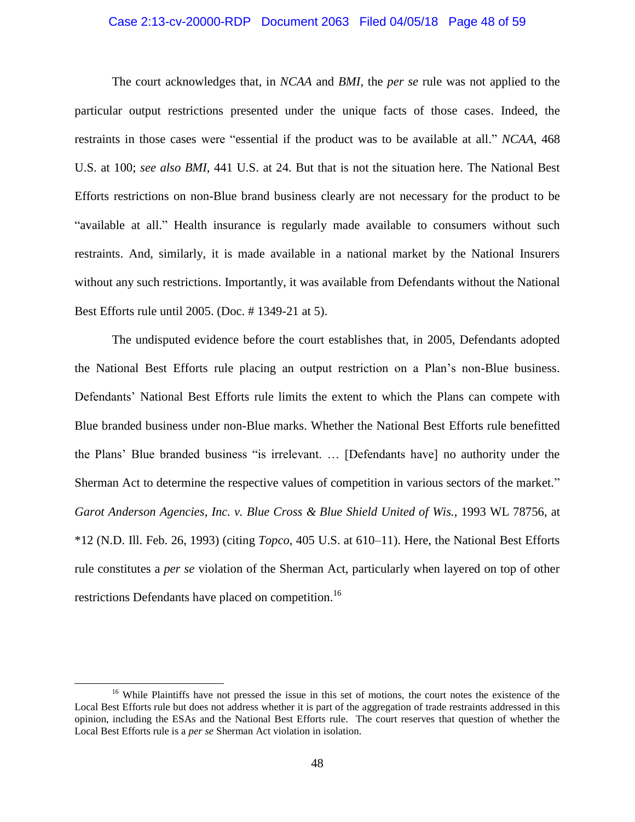### Case 2:13-cv-20000-RDP Document 2063 Filed 04/05/18 Page 48 of 59

The court acknowledges that, in *NCAA* and *BMI,* the *per se* rule was not applied to the particular output restrictions presented under the unique facts of those cases. Indeed, the restraints in those cases were "essential if the product was to be available at all." *NCAA*, 468 U.S. at 100; *see also BMI*, 441 U.S. at 24. But that is not the situation here. The National Best Efforts restrictions on non-Blue brand business clearly are not necessary for the product to be "available at all." Health insurance is regularly made available to consumers without such restraints. And, similarly, it is made available in a national market by the National Insurers without any such restrictions. Importantly, it was available from Defendants without the National Best Efforts rule until 2005. (Doc. # 1349-21 at 5).

The undisputed evidence before the court establishes that, in 2005, Defendants adopted the National Best Efforts rule placing an output restriction on a Plan's non-Blue business. Defendants' National Best Efforts rule limits the extent to which the Plans can compete with Blue branded business under non-Blue marks. Whether the National Best Efforts rule benefitted the Plans' Blue branded business "is irrelevant. … [Defendants have] no authority under the Sherman Act to determine the respective values of competition in various sectors of the market." *Garot Anderson Agencies, Inc. v. Blue Cross & Blue Shield United of Wis.*, 1993 WL 78756, at \*12 (N.D. Ill. Feb. 26, 1993) (citing *Topco*, 405 U.S. at 610–11). Here, the National Best Efforts rule constitutes a *per se* violation of the Sherman Act, particularly when layered on top of other restrictions Defendants have placed on competition.<sup>16</sup>

<sup>&</sup>lt;sup>16</sup> While Plaintiffs have not pressed the issue in this set of motions, the court notes the existence of the Local Best Efforts rule but does not address whether it is part of the aggregation of trade restraints addressed in this opinion, including the ESAs and the National Best Efforts rule. The court reserves that question of whether the Local Best Efforts rule is a *per se* Sherman Act violation in isolation.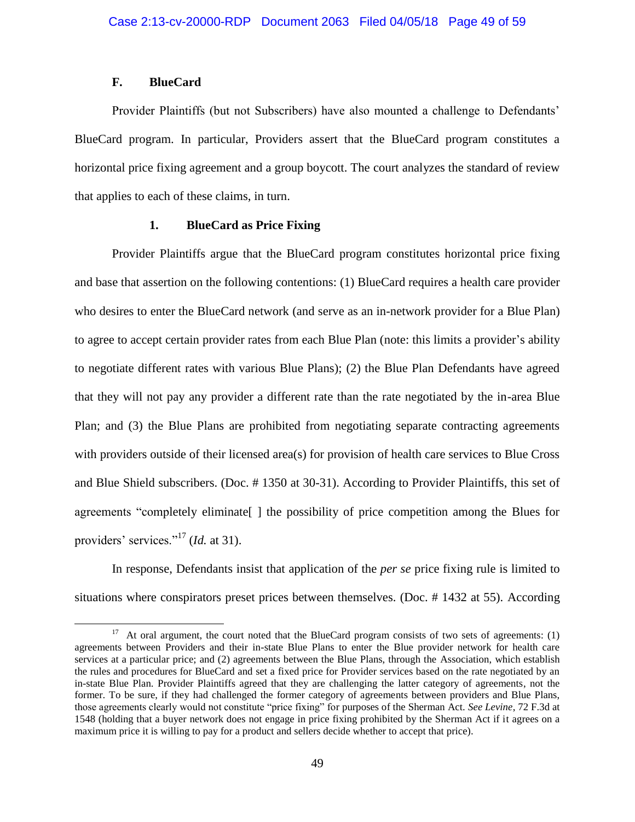## **F. BlueCard**

 $\overline{\phantom{a}}$ 

Provider Plaintiffs (but not Subscribers) have also mounted a challenge to Defendants' BlueCard program. In particular, Providers assert that the BlueCard program constitutes a horizontal price fixing agreement and a group boycott. The court analyzes the standard of review that applies to each of these claims, in turn.

### **1. BlueCard as Price Fixing**

Provider Plaintiffs argue that the BlueCard program constitutes horizontal price fixing and base that assertion on the following contentions: (1) BlueCard requires a health care provider who desires to enter the BlueCard network (and serve as an in-network provider for a Blue Plan) to agree to accept certain provider rates from each Blue Plan (note: this limits a provider's ability to negotiate different rates with various Blue Plans); (2) the Blue Plan Defendants have agreed that they will not pay any provider a different rate than the rate negotiated by the in-area Blue Plan; and (3) the Blue Plans are prohibited from negotiating separate contracting agreements with providers outside of their licensed area(s) for provision of health care services to Blue Cross and Blue Shield subscribers. (Doc. # 1350 at 30-31). According to Provider Plaintiffs, this set of agreements "completely eliminate[ ] the possibility of price competition among the Blues for providers' services."<sup>17</sup> (*Id.* at 31).

In response, Defendants insist that application of the *per se* price fixing rule is limited to situations where conspirators preset prices between themselves. (Doc. # 1432 at 55). According

<sup>&</sup>lt;sup>17</sup> At oral argument, the court noted that the BlueCard program consists of two sets of agreements: (1) agreements between Providers and their in-state Blue Plans to enter the Blue provider network for health care services at a particular price; and (2) agreements between the Blue Plans, through the Association, which establish the rules and procedures for BlueCard and set a fixed price for Provider services based on the rate negotiated by an in-state Blue Plan. Provider Plaintiffs agreed that they are challenging the latter category of agreements, not the former. To be sure, if they had challenged the former category of agreements between providers and Blue Plans, those agreements clearly would not constitute "price fixing" for purposes of the Sherman Act. *See Levine*, 72 F.3d at 1548 (holding that a buyer network does not engage in price fixing prohibited by the Sherman Act if it agrees on a maximum price it is willing to pay for a product and sellers decide whether to accept that price).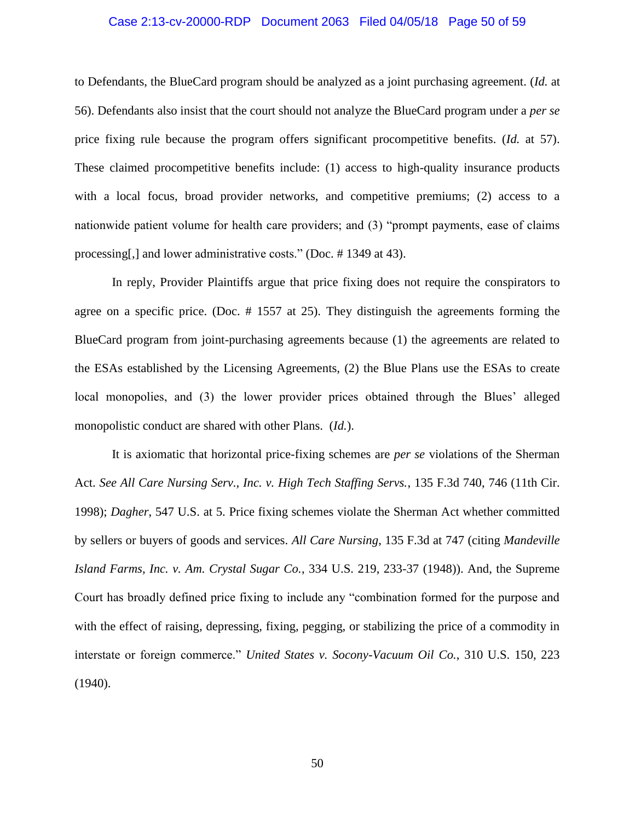### Case 2:13-cv-20000-RDP Document 2063 Filed 04/05/18 Page 50 of 59

to Defendants, the BlueCard program should be analyzed as a joint purchasing agreement. (*Id.* at 56). Defendants also insist that the court should not analyze the BlueCard program under a *per se* price fixing rule because the program offers significant procompetitive benefits. (*Id.* at 57). These claimed procompetitive benefits include: (1) access to high-quality insurance products with a local focus, broad provider networks, and competitive premiums; (2) access to a nationwide patient volume for health care providers; and (3) "prompt payments, ease of claims processing[,] and lower administrative costs." (Doc. # 1349 at 43).

In reply, Provider Plaintiffs argue that price fixing does not require the conspirators to agree on a specific price. (Doc. # 1557 at 25). They distinguish the agreements forming the BlueCard program from joint-purchasing agreements because (1) the agreements are related to the ESAs established by the Licensing Agreements, (2) the Blue Plans use the ESAs to create local monopolies, and (3) the lower provider prices obtained through the Blues' alleged monopolistic conduct are shared with other Plans. (*Id.*).

It is axiomatic that horizontal price-fixing schemes are *per se* violations of the Sherman Act. *See All Care Nursing Serv., Inc. v. High Tech Staffing Servs.*, 135 F.3d 740, 746 (11th Cir. 1998); *Dagher*, 547 U.S. at 5. Price fixing schemes violate the Sherman Act whether committed by sellers or buyers of goods and services. *All Care Nursing*, 135 F.3d at 747 (citing *Mandeville Island Farms, Inc. v. Am. Crystal Sugar Co.*, 334 U.S. 219, 233-37 (1948)). And, the Supreme Court has broadly defined price fixing to include any "combination formed for the purpose and with the effect of raising, depressing, fixing, pegging, or stabilizing the price of a commodity in interstate or foreign commerce." *United States v. Socony-Vacuum Oil Co.*, 310 U.S. 150, 223 (1940).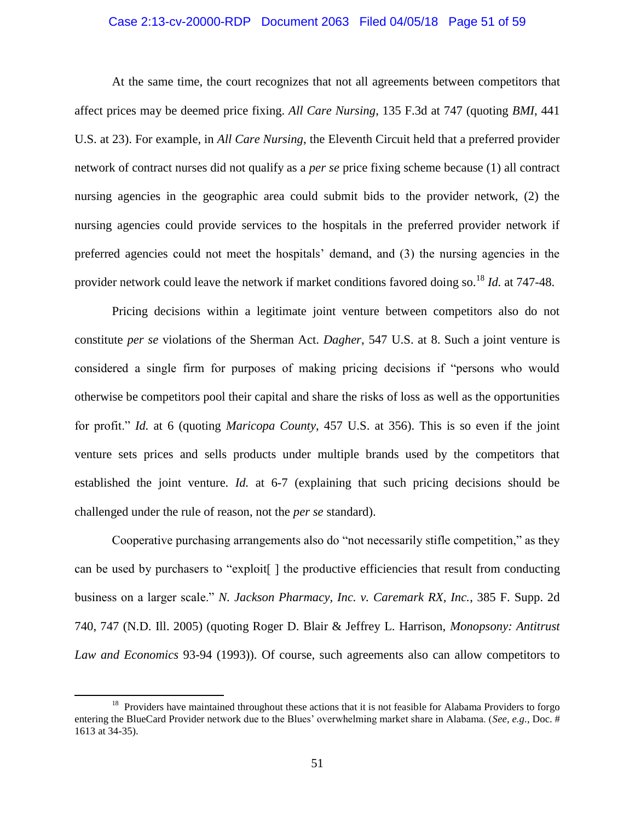### Case 2:13-cv-20000-RDP Document 2063 Filed 04/05/18 Page 51 of 59

At the same time, the court recognizes that not all agreements between competitors that affect prices may be deemed price fixing. *All Care Nursing*, 135 F.3d at 747 (quoting *BMI*, 441 U.S. at 23). For example, in *All Care Nursing*, the Eleventh Circuit held that a preferred provider network of contract nurses did not qualify as a *per se* price fixing scheme because (1) all contract nursing agencies in the geographic area could submit bids to the provider network, (2) the nursing agencies could provide services to the hospitals in the preferred provider network if preferred agencies could not meet the hospitals' demand, and (3) the nursing agencies in the provider network could leave the network if market conditions favored doing so. <sup>18</sup> *Id.* at 747-48.

Pricing decisions within a legitimate joint venture between competitors also do not constitute *per se* violations of the Sherman Act. *Dagher*, 547 U.S. at 8. Such a joint venture is considered a single firm for purposes of making pricing decisions if "persons who would otherwise be competitors pool their capital and share the risks of loss as well as the opportunities for profit." *Id.* at 6 (quoting *Maricopa County*, 457 U.S. at 356). This is so even if the joint venture sets prices and sells products under multiple brands used by the competitors that established the joint venture. *Id.* at 6-7 (explaining that such pricing decisions should be challenged under the rule of reason, not the *per se* standard).

Cooperative purchasing arrangements also do "not necessarily stifle competition," as they can be used by purchasers to "exploit[ ] the productive efficiencies that result from conducting business on a larger scale." *N. Jackson Pharmacy, Inc. v. Caremark RX, Inc.*, 385 F. Supp. 2d 740, 747 (N.D. Ill. 2005) (quoting Roger D. Blair & Jeffrey L. Harrison, *Monopsony: Antitrust Law and Economics* 93-94 (1993)). Of course, such agreements also can allow competitors to

<sup>&</sup>lt;sup>18</sup> Providers have maintained throughout these actions that it is not feasible for Alabama Providers to forgo entering the BlueCard Provider network due to the Blues' overwhelming market share in Alabama. (*See, e.g.*, Doc. # 1613 at 34-35).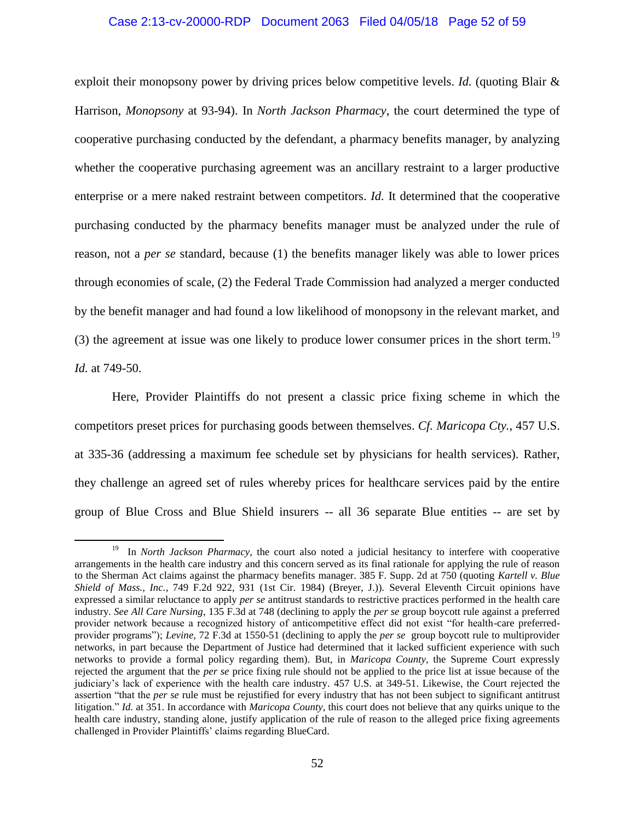### Case 2:13-cv-20000-RDP Document 2063 Filed 04/05/18 Page 52 of 59

exploit their monopsony power by driving prices below competitive levels. *Id.* (quoting Blair & Harrison, *Monopsony* at 93-94). In *North Jackson Pharmacy*, the court determined the type of cooperative purchasing conducted by the defendant, a pharmacy benefits manager, by analyzing whether the cooperative purchasing agreement was an ancillary restraint to a larger productive enterprise or a mere naked restraint between competitors. *Id.* It determined that the cooperative purchasing conducted by the pharmacy benefits manager must be analyzed under the rule of reason, not a *per se* standard, because (1) the benefits manager likely was able to lower prices through economies of scale, (2) the Federal Trade Commission had analyzed a merger conducted by the benefit manager and had found a low likelihood of monopsony in the relevant market, and (3) the agreement at issue was one likely to produce lower consumer prices in the short term.<sup>19</sup> *Id.* at 749-50.

Here, Provider Plaintiffs do not present a classic price fixing scheme in which the competitors preset prices for purchasing goods between themselves. *Cf. Maricopa Cty.*, 457 U.S. at 335-36 (addressing a maximum fee schedule set by physicians for health services). Rather, they challenge an agreed set of rules whereby prices for healthcare services paid by the entire group of Blue Cross and Blue Shield insurers -- all 36 separate Blue entities -- are set by

 $\overline{a}$ 

<sup>&</sup>lt;sup>19</sup> In *North Jackson Pharmacy*, the court also noted a judicial hesitancy to interfere with cooperative arrangements in the health care industry and this concern served as its final rationale for applying the rule of reason to the Sherman Act claims against the pharmacy benefits manager. 385 F. Supp. 2d at 750 (quoting *Kartell v. Blue Shield of Mass., Inc.*, 749 F.2d 922, 931 (1st Cir. 1984) (Breyer, J.)). Several Eleventh Circuit opinions have expressed a similar reluctance to apply *per se* antitrust standards to restrictive practices performed in the health care industry. *See All Care Nursing*, 135 F.3d at 748 (declining to apply the *per se* group boycott rule against a preferred provider network because a recognized history of anticompetitive effect did not exist "for health-care preferredprovider programs"); *Levine*, 72 F.3d at 1550-51 (declining to apply the *per se* group boycott rule to multiprovider networks, in part because the Department of Justice had determined that it lacked sufficient experience with such networks to provide a formal policy regarding them). But, in *Maricopa County*, the Supreme Court expressly rejected the argument that the *per se* price fixing rule should not be applied to the price list at issue because of the judiciary's lack of experience with the health care industry. 457 U.S. at 349-51. Likewise, the Court rejected the assertion "that the *per se* rule must be rejustified for every industry that has not been subject to significant antitrust litigation." *Id.* at 351. In accordance with *Maricopa County*, this court does not believe that any quirks unique to the health care industry, standing alone, justify application of the rule of reason to the alleged price fixing agreements challenged in Provider Plaintiffs' claims regarding BlueCard.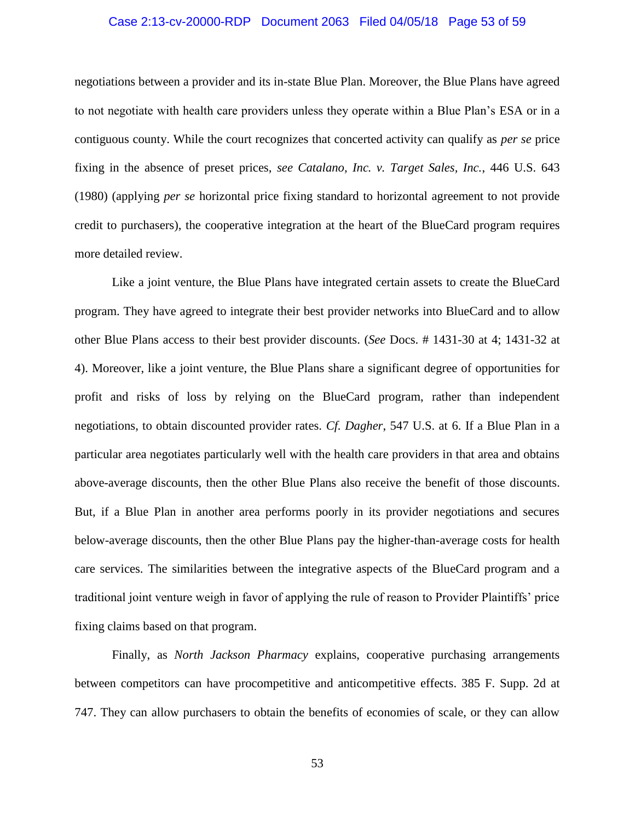### Case 2:13-cv-20000-RDP Document 2063 Filed 04/05/18 Page 53 of 59

negotiations between a provider and its in-state Blue Plan. Moreover, the Blue Plans have agreed to not negotiate with health care providers unless they operate within a Blue Plan's ESA or in a contiguous county. While the court recognizes that concerted activity can qualify as *per se* price fixing in the absence of preset prices, *see Catalano, Inc. v. Target Sales, Inc.*, 446 U.S. 643 (1980) (applying *per se* horizontal price fixing standard to horizontal agreement to not provide credit to purchasers), the cooperative integration at the heart of the BlueCard program requires more detailed review.

Like a joint venture, the Blue Plans have integrated certain assets to create the BlueCard program. They have agreed to integrate their best provider networks into BlueCard and to allow other Blue Plans access to their best provider discounts. (*See* Docs. # 1431-30 at 4; 1431-32 at 4). Moreover, like a joint venture, the Blue Plans share a significant degree of opportunities for profit and risks of loss by relying on the BlueCard program, rather than independent negotiations, to obtain discounted provider rates. *Cf. Dagher*, 547 U.S. at 6. If a Blue Plan in a particular area negotiates particularly well with the health care providers in that area and obtains above-average discounts, then the other Blue Plans also receive the benefit of those discounts. But, if a Blue Plan in another area performs poorly in its provider negotiations and secures below-average discounts, then the other Blue Plans pay the higher-than-average costs for health care services. The similarities between the integrative aspects of the BlueCard program and a traditional joint venture weigh in favor of applying the rule of reason to Provider Plaintiffs' price fixing claims based on that program.

Finally, as *North Jackson Pharmacy* explains, cooperative purchasing arrangements between competitors can have procompetitive and anticompetitive effects. 385 F. Supp. 2d at 747. They can allow purchasers to obtain the benefits of economies of scale, or they can allow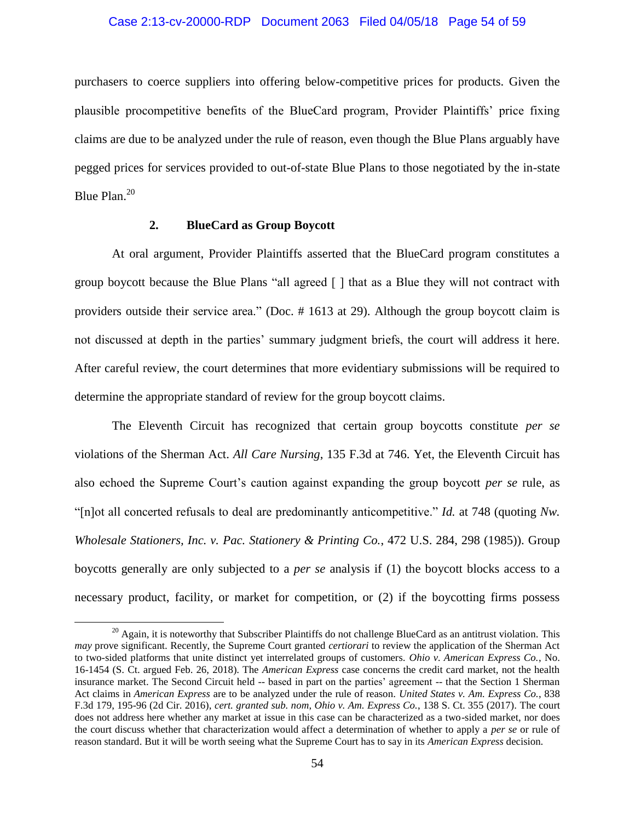# Case 2:13-cv-20000-RDP Document 2063 Filed 04/05/18 Page 54 of 59

purchasers to coerce suppliers into offering below-competitive prices for products. Given the plausible procompetitive benefits of the BlueCard program, Provider Plaintiffs' price fixing claims are due to be analyzed under the rule of reason, even though the Blue Plans arguably have pegged prices for services provided to out-of-state Blue Plans to those negotiated by the in-state Blue Plan.<sup>20</sup>

### **2. BlueCard as Group Boycott**

 $\overline{\phantom{a}}$ 

At oral argument, Provider Plaintiffs asserted that the BlueCard program constitutes a group boycott because the Blue Plans "all agreed [ ] that as a Blue they will not contract with providers outside their service area." (Doc. # 1613 at 29). Although the group boycott claim is not discussed at depth in the parties' summary judgment briefs, the court will address it here. After careful review, the court determines that more evidentiary submissions will be required to determine the appropriate standard of review for the group boycott claims.

The Eleventh Circuit has recognized that certain group boycotts constitute *per se* violations of the Sherman Act. *All Care Nursing*, 135 F.3d at 746. Yet, the Eleventh Circuit has also echoed the Supreme Court's caution against expanding the group boycott *per se* rule, as "[n]ot all concerted refusals to deal are predominantly anticompetitive." *Id.* at 748 (quoting *Nw. Wholesale Stationers, Inc. v. Pac. Stationery & Printing Co.*, 472 U.S. 284, 298 (1985)). Group boycotts generally are only subjected to a *per se* analysis if (1) the boycott blocks access to a necessary product, facility, or market for competition, or (2) if the boycotting firms possess

 $20$  Again, it is noteworthy that Subscriber Plaintiffs do not challenge BlueCard as an antitrust violation. This *may* prove significant. Recently, the Supreme Court granted *certiorari* to review the application of the Sherman Act to two-sided platforms that unite distinct yet interrelated groups of customers. *Ohio v. American Express Co.*, No. 16-1454 (S. Ct. argued Feb. 26, 2018). The *American Express* case concerns the credit card market, not the health insurance market. The Second Circuit held -- based in part on the parties' agreement -- that the Section 1 Sherman Act claims in *American Express* are to be analyzed under the rule of reason. *United States v. Am. Express Co.*, 838 F.3d 179, 195-96 (2d Cir. 2016), *cert. granted sub. nom*, *Ohio v. Am. Express Co.*, 138 S. Ct. 355 (2017). The court does not address here whether any market at issue in this case can be characterized as a two-sided market, nor does the court discuss whether that characterization would affect a determination of whether to apply a *per se* or rule of reason standard. But it will be worth seeing what the Supreme Court has to say in its *American Express* decision.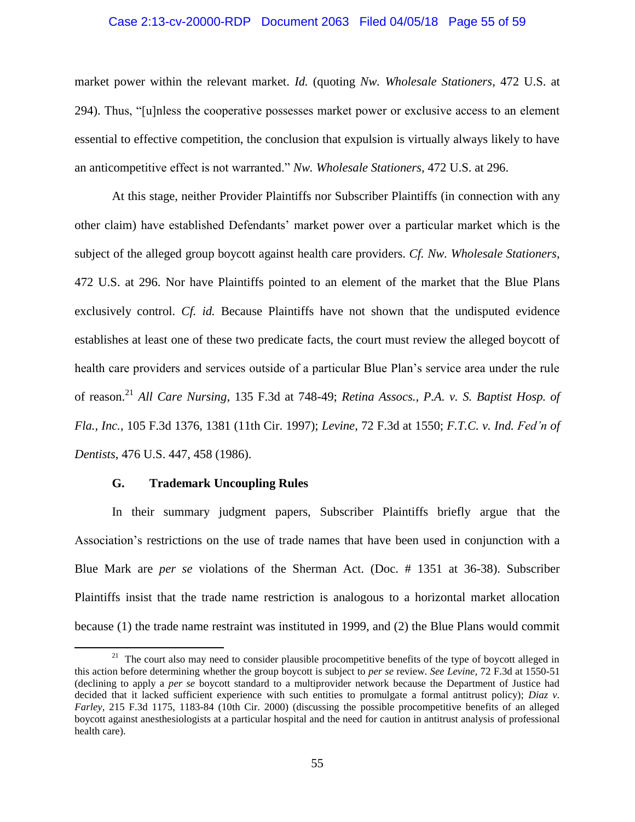#### Case 2:13-cv-20000-RDP Document 2063 Filed 04/05/18 Page 55 of 59

market power within the relevant market. *Id.* (quoting *Nw. Wholesale Stationers*, 472 U.S. at 294). Thus, "[u]nless the cooperative possesses market power or exclusive access to an element essential to effective competition, the conclusion that expulsion is virtually always likely to have an anticompetitive effect is not warranted." *Nw. Wholesale Stationers*, 472 U.S. at 296.

At this stage, neither Provider Plaintiffs nor Subscriber Plaintiffs (in connection with any other claim) have established Defendants' market power over a particular market which is the subject of the alleged group boycott against health care providers. *Cf. Nw. Wholesale Stationers*, 472 U.S. at 296. Nor have Plaintiffs pointed to an element of the market that the Blue Plans exclusively control. *Cf. id.* Because Plaintiffs have not shown that the undisputed evidence establishes at least one of these two predicate facts, the court must review the alleged boycott of health care providers and services outside of a particular Blue Plan's service area under the rule of reason.<sup>21</sup> *All Care Nursing*, 135 F.3d at 748-49; *Retina Assocs., P.A. v. S. Baptist Hosp. of Fla., Inc.*, 105 F.3d 1376, 1381 (11th Cir. 1997); *Levine*, 72 F.3d at 1550; *F.T.C. v. Ind. Fed'n of Dentists*, 476 U.S. 447, 458 (1986).

## **G. Trademark Uncoupling Rules**

 $\overline{a}$ 

In their summary judgment papers, Subscriber Plaintiffs briefly argue that the Association's restrictions on the use of trade names that have been used in conjunction with a Blue Mark are *per se* violations of the Sherman Act. (Doc. # 1351 at 36-38). Subscriber Plaintiffs insist that the trade name restriction is analogous to a horizontal market allocation because (1) the trade name restraint was instituted in 1999, and (2) the Blue Plans would commit

<sup>&</sup>lt;sup>21</sup> The court also may need to consider plausible procompetitive benefits of the type of boycott alleged in this action before determining whether the group boycott is subject to *per se* review. *See Levine*, 72 F.3d at 1550-51 (declining to apply a *per se* boycott standard to a multiprovider network because the Department of Justice had decided that it lacked sufficient experience with such entities to promulgate a formal antitrust policy); *Diaz v. Farley*, 215 F.3d 1175, 1183-84 (10th Cir. 2000) (discussing the possible procompetitive benefits of an alleged boycott against anesthesiologists at a particular hospital and the need for caution in antitrust analysis of professional health care).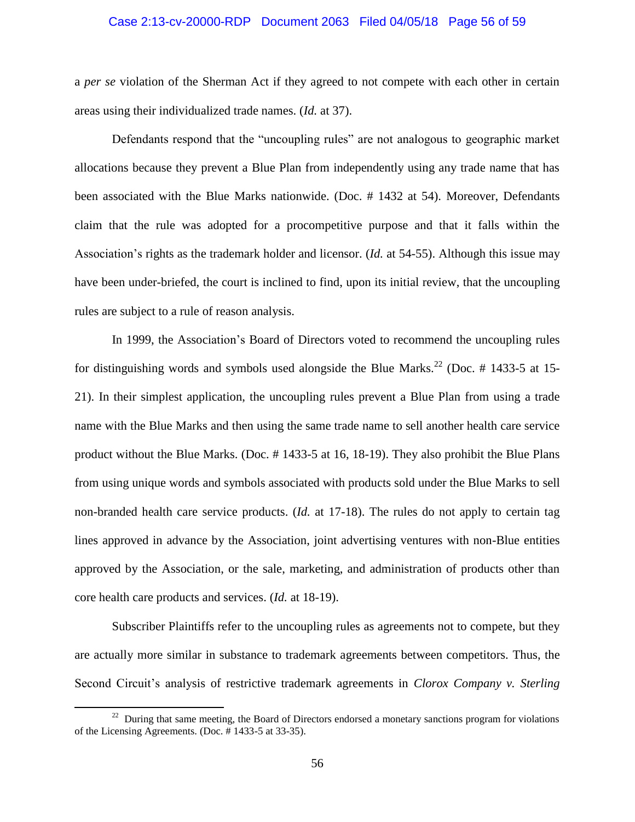### Case 2:13-cv-20000-RDP Document 2063 Filed 04/05/18 Page 56 of 59

a *per se* violation of the Sherman Act if they agreed to not compete with each other in certain areas using their individualized trade names. (*Id.* at 37).

Defendants respond that the "uncoupling rules" are not analogous to geographic market allocations because they prevent a Blue Plan from independently using any trade name that has been associated with the Blue Marks nationwide. (Doc. # 1432 at 54). Moreover, Defendants claim that the rule was adopted for a procompetitive purpose and that it falls within the Association's rights as the trademark holder and licensor. (*Id.* at 54-55). Although this issue may have been under-briefed, the court is inclined to find, upon its initial review, that the uncoupling rules are subject to a rule of reason analysis.

In 1999, the Association's Board of Directors voted to recommend the uncoupling rules for distinguishing words and symbols used alongside the Blue Marks.<sup>22</sup> (Doc. # 1433-5 at 15-21). In their simplest application, the uncoupling rules prevent a Blue Plan from using a trade name with the Blue Marks and then using the same trade name to sell another health care service product without the Blue Marks. (Doc. # 1433-5 at 16, 18-19). They also prohibit the Blue Plans from using unique words and symbols associated with products sold under the Blue Marks to sell non-branded health care service products. (*Id.* at 17-18). The rules do not apply to certain tag lines approved in advance by the Association, joint advertising ventures with non-Blue entities approved by the Association, or the sale, marketing, and administration of products other than core health care products and services. (*Id.* at 18-19).

Subscriber Plaintiffs refer to the uncoupling rules as agreements not to compete, but they are actually more similar in substance to trademark agreements between competitors. Thus, the Second Circuit's analysis of restrictive trademark agreements in *Clorox Company v. Sterling* 

l

 $22$  During that same meeting, the Board of Directors endorsed a monetary sanctions program for violations of the Licensing Agreements. (Doc. # 1433-5 at 33-35).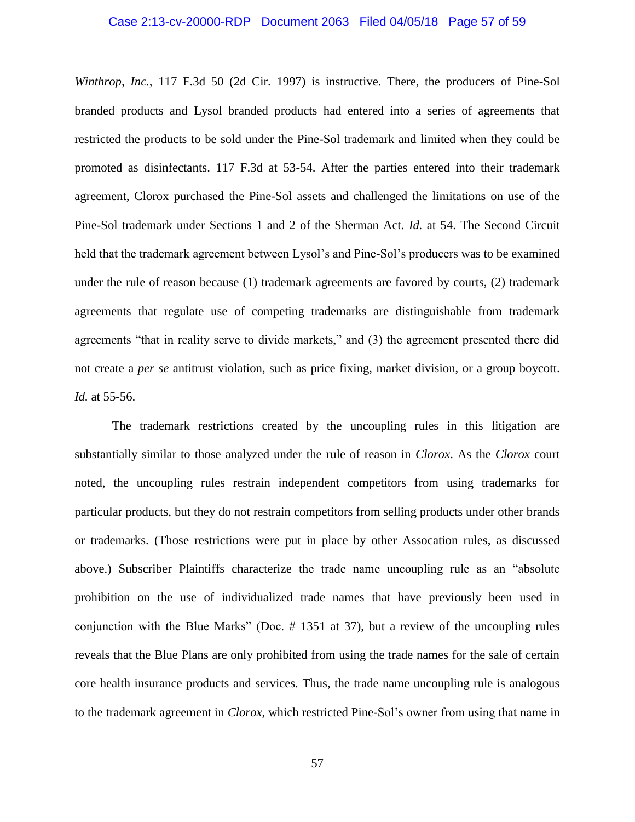### Case 2:13-cv-20000-RDP Document 2063 Filed 04/05/18 Page 57 of 59

*Winthrop, Inc.*, 117 F.3d 50 (2d Cir. 1997) is instructive. There, the producers of Pine-Sol branded products and Lysol branded products had entered into a series of agreements that restricted the products to be sold under the Pine-Sol trademark and limited when they could be promoted as disinfectants. 117 F.3d at 53-54. After the parties entered into their trademark agreement, Clorox purchased the Pine-Sol assets and challenged the limitations on use of the Pine-Sol trademark under Sections 1 and 2 of the Sherman Act. *Id.* at 54. The Second Circuit held that the trademark agreement between Lysol's and Pine-Sol's producers was to be examined under the rule of reason because (1) trademark agreements are favored by courts, (2) trademark agreements that regulate use of competing trademarks are distinguishable from trademark agreements "that in reality serve to divide markets," and (3) the agreement presented there did not create a *per se* antitrust violation, such as price fixing, market division, or a group boycott. *Id.* at 55-56.

The trademark restrictions created by the uncoupling rules in this litigation are substantially similar to those analyzed under the rule of reason in *Clorox*. As the *Clorox* court noted, the uncoupling rules restrain independent competitors from using trademarks for particular products, but they do not restrain competitors from selling products under other brands or trademarks. (Those restrictions were put in place by other Assocation rules, as discussed above.) Subscriber Plaintiffs characterize the trade name uncoupling rule as an "absolute prohibition on the use of individualized trade names that have previously been used in conjunction with the Blue Marks" (Doc.  $\#$  1351 at 37), but a review of the uncoupling rules reveals that the Blue Plans are only prohibited from using the trade names for the sale of certain core health insurance products and services. Thus, the trade name uncoupling rule is analogous to the trademark agreement in *Clorox*, which restricted Pine-Sol's owner from using that name in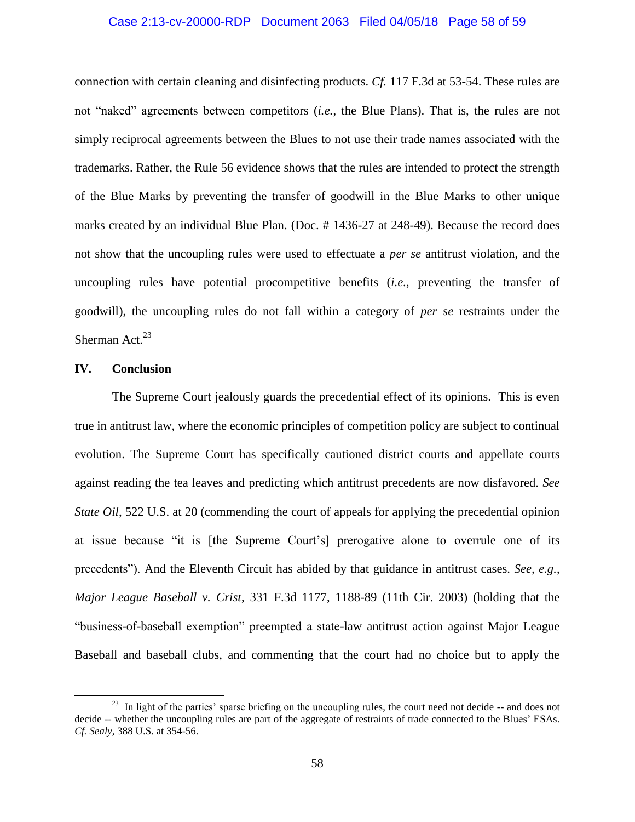#### Case 2:13-cv-20000-RDP Document 2063 Filed 04/05/18 Page 58 of 59

connection with certain cleaning and disinfecting products. *Cf.* 117 F.3d at 53-54. These rules are not "naked" agreements between competitors (*i.e.*, the Blue Plans). That is, the rules are not simply reciprocal agreements between the Blues to not use their trade names associated with the trademarks. Rather, the Rule 56 evidence shows that the rules are intended to protect the strength of the Blue Marks by preventing the transfer of goodwill in the Blue Marks to other unique marks created by an individual Blue Plan. (Doc. # 1436-27 at 248-49). Because the record does not show that the uncoupling rules were used to effectuate a *per se* antitrust violation, and the uncoupling rules have potential procompetitive benefits (*i.e.*, preventing the transfer of goodwill), the uncoupling rules do not fall within a category of *per se* restraints under the Sherman Act. $^{23}$ 

### **IV. Conclusion**

 $\overline{\phantom{a}}$ 

The Supreme Court jealously guards the precedential effect of its opinions. This is even true in antitrust law, where the economic principles of competition policy are subject to continual evolution. The Supreme Court has specifically cautioned district courts and appellate courts against reading the tea leaves and predicting which antitrust precedents are now disfavored. *See State Oil*, 522 U.S. at 20 (commending the court of appeals for applying the precedential opinion at issue because "it is [the Supreme Court's] prerogative alone to overrule one of its precedents"). And the Eleventh Circuit has abided by that guidance in antitrust cases. *See, e.g.*, *Major League Baseball v. Crist*, 331 F.3d 1177, 1188-89 (11th Cir. 2003) (holding that the "business-of-baseball exemption" preempted a state-law antitrust action against Major League Baseball and baseball clubs, and commenting that the court had no choice but to apply the

 $^{23}$  In light of the parties' sparse briefing on the uncoupling rules, the court need not decide  $-$  and does not decide -- whether the uncoupling rules are part of the aggregate of restraints of trade connected to the Blues' ESAs. *Cf. Sealy*, 388 U.S. at 354-56.